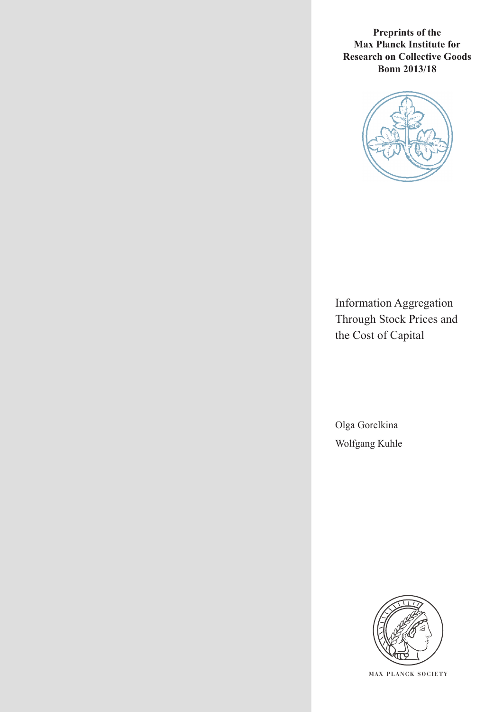**Preprints of the Max Planck Institute for Research on Collective Goods Bonn 2013/18**



Information Aggregation Through Stock Prices and the Cost of Capital

Olga Gorelkina Wolfgang Kuhle



**M AX PLANCK SOCIETY**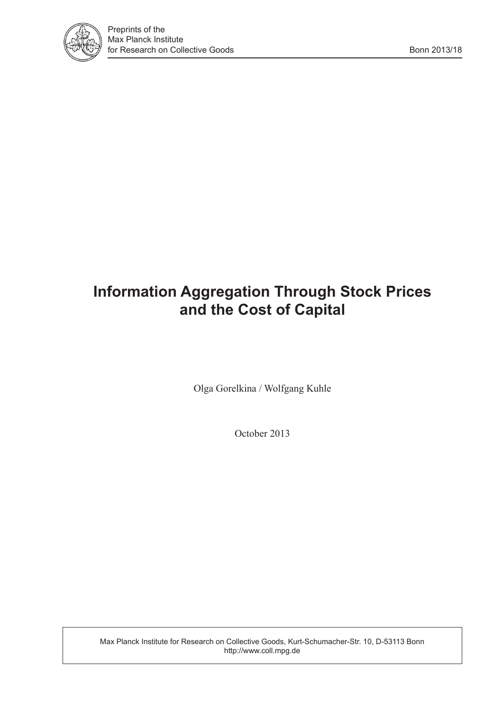

# **Information Aggregation Through Stock Prices and the Cost of Capital**

Olga Gorelkina / Wolfgang Kuhle

October 2013

Max Planck Institute for Research on Collective Goods, Kurt-Schumacher-Str. 10, D-53113 Bonn http://www.coll.mpg.de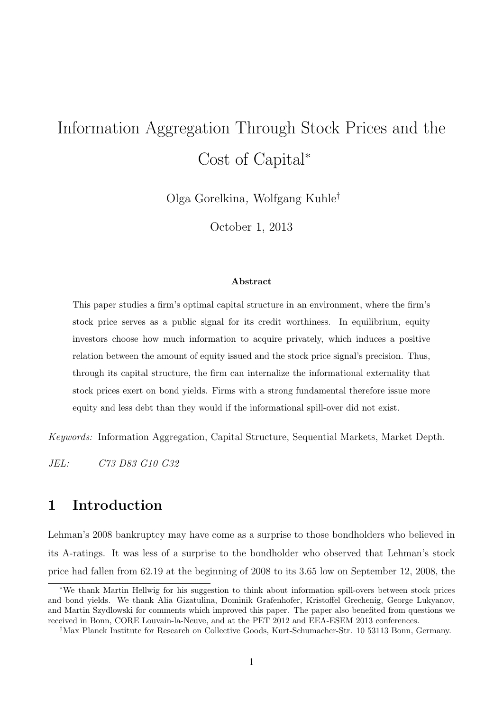# Information Aggregation Through Stock Prices and the Cost of Capital<sup>∗</sup>

Olga Gorelkina, Wolfgang Kuhle†

October 1, 2013

#### Abstract

This paper studies a firm's optimal capital structure in an environment, where the firm's stock price serves as a public signal for its credit worthiness. In equilibrium, equity investors choose how much information to acquire privately, which induces a positive relation between the amount of equity issued and the stock price signal's precision. Thus, through its capital structure, the firm can internalize the informational externality that stock prices exert on bond yields. Firms with a strong fundamental therefore issue more equity and less debt than they would if the informational spill-over did not exist.

Keywords: Information Aggregation, Capital Structure, Sequential Markets, Market Depth.

JEL: C73 D83 G10 G32

# <span id="page-2-0"></span>1 Introduction

Lehman's 2008 bankruptcy may have come as a surprise to those bondholders who believed in its A-ratings. It was less of a surprise to the bondholder who observed that Lehman's stock price had fallen from 62.19 at the beginning of 2008 to its 3.65 low on September 12, 2008, the

<sup>∗</sup>We thank Martin Hellwig for his suggestion to think about information spill-overs between stock prices and bond yields. We thank Alia Gizatulina, Dominik Grafenhofer, Kristoffel Grechenig, George Lukyanov, and Martin Szydlowski for comments which improved this paper. The paper also benefited from questions we received in Bonn, CORE Louvain-la-Neuve, and at the PET 2012 and EEA-ESEM 2013 conferences.

<sup>†</sup>Max Planck Institute for Research on Collective Goods, Kurt-Schumacher-Str. 10 53113 Bonn, Germany.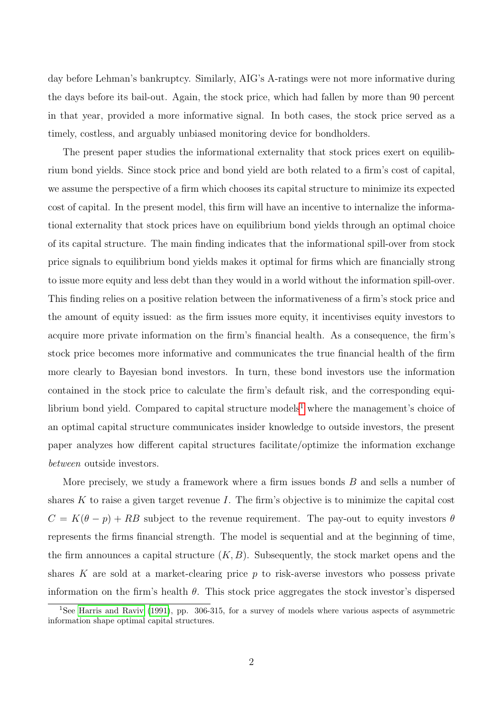day before Lehman's bankruptcy. Similarly, AIG's A-ratings were not more informative during the days before its bail-out. Again, the stock price, which had fallen by more than 90 percent in that year, provided a more informative signal. In both cases, the stock price served as a timely, costless, and arguably unbiased monitoring device for bondholders.

The present paper studies the informational externality that stock prices exert on equilibrium bond yields. Since stock price and bond yield are both related to a firm's cost of capital, we assume the perspective of a firm which chooses its capital structure to minimize its expected cost of capital. In the present model, this firm will have an incentive to internalize the informational externality that stock prices have on equilibrium bond yields through an optimal choice of its capital structure. The main finding indicates that the informational spill-over from stock price signals to equilibrium bond yields makes it optimal for firms which are financially strong to issue more equity and less debt than they would in a world without the information spill-over. This finding relies on a positive relation between the informativeness of a firm's stock price and the amount of equity issued: as the firm issues more equity, it incentivises equity investors to acquire more private information on the firm's financial health. As a consequence, the firm's stock price becomes more informative and communicates the true financial health of the firm more clearly to Bayesian bond investors. In turn, these bond investors use the information contained in the stock price to calculate the firm's default risk, and the corresponding equi-librium bond yield. Compared to capital structure models<sup>[1](#page-3-0)</sup> where the management's choice of an optimal capital structure communicates insider knowledge to outside investors, the present paper analyzes how different capital structures facilitate/optimize the information exchange between outside investors.

More precisely, we study a framework where a firm issues bonds  $B$  and sells a number of shares  $K$  to raise a given target revenue  $I$ . The firm's objective is to minimize the capital cost  $C = K(\theta - p) + RB$  subject to the revenue requirement. The pay-out to equity investors  $\theta$ represents the firms financial strength. The model is sequential and at the beginning of time, the firm announces a capital structure  $(K, B)$ . Subsequently, the stock market opens and the shares K are sold at a market-clearing price  $p$  to risk-averse investors who possess private information on the firm's health  $\theta$ . This stock price aggregates the stock investor's dispersed

<span id="page-3-0"></span><sup>1</sup>See [Harris and Raviv](#page-28-0) [\(1991\)](#page-28-0), pp. 306-315, for a survey of models where various aspects of asymmetric information shape optimal capital structures.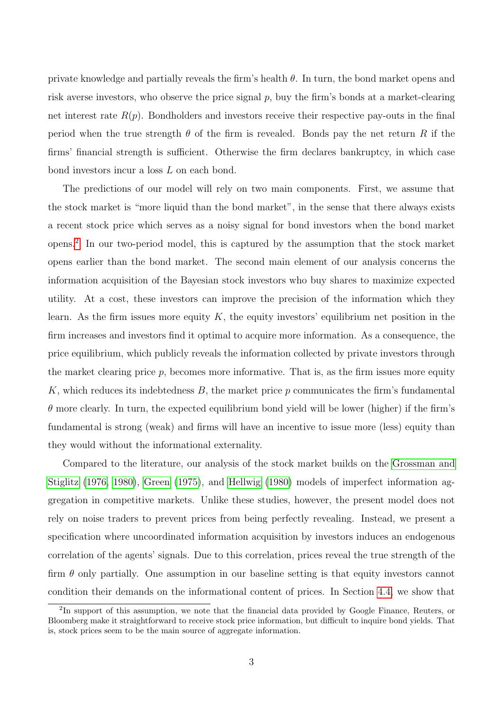private knowledge and partially reveals the firm's health  $\theta$ . In turn, the bond market opens and risk averse investors, who observe the price signal  $p$ , buy the firm's bonds at a market-clearing net interest rate  $R(p)$ . Bondholders and investors receive their respective pay-outs in the final period when the true strength  $\theta$  of the firm is revealed. Bonds pay the net return R if the firms' financial strength is sufficient. Otherwise the firm declares bankruptcy, in which case bond investors incur a loss L on each bond.

The predictions of our model will rely on two main components. First, we assume that the stock market is "more liquid than the bond market", in the sense that there always exists a recent stock price which serves as a noisy signal for bond investors when the bond market opens.[2](#page-4-0) In our two-period model, this is captured by the assumption that the stock market opens earlier than the bond market. The second main element of our analysis concerns the information acquisition of the Bayesian stock investors who buy shares to maximize expected utility. At a cost, these investors can improve the precision of the information which they learn. As the firm issues more equity  $K$ , the equity investors' equilibrium net position in the firm increases and investors find it optimal to acquire more information. As a consequence, the price equilibrium, which publicly reveals the information collected by private investors through the market clearing price  $p$ , becomes more informative. That is, as the firm issues more equity K, which reduces its indebtedness  $B$ , the market price p communicates the firm's fundamental  $\theta$  more clearly. In turn, the expected equilibrium bond yield will be lower (higher) if the firm's fundamental is strong (weak) and firms will have an incentive to issue more (less) equity than they would without the informational externality.

Compared to the literature, our analysis of the stock market builds on the [Grossman and](#page-28-1) [Stiglitz \(1976,](#page-28-1) [1980\)](#page-28-2), [Green \(1975\)](#page-28-3), and [Hellwig \(1980\)](#page-28-4) models of imperfect information aggregation in competitive markets. Unlike these studies, however, the present model does not rely on noise traders to prevent prices from being perfectly revealing. Instead, we present a specification where uncoordinated information acquisition by investors induces an endogenous correlation of the agents' signals. Due to this correlation, prices reveal the true strength of the firm  $\theta$  only partially. One assumption in our baseline setting is that equity investors cannot condition their demands on the informational content of prices. In Section [4.4,](#page-20-0) we show that

<span id="page-4-0"></span><sup>&</sup>lt;sup>2</sup>In support of this assumption, we note that the financial data provided by Google Finance, Reuters, or Bloomberg make it straightforward to receive stock price information, but difficult to inquire bond yields. That is, stock prices seem to be the main source of aggregate information.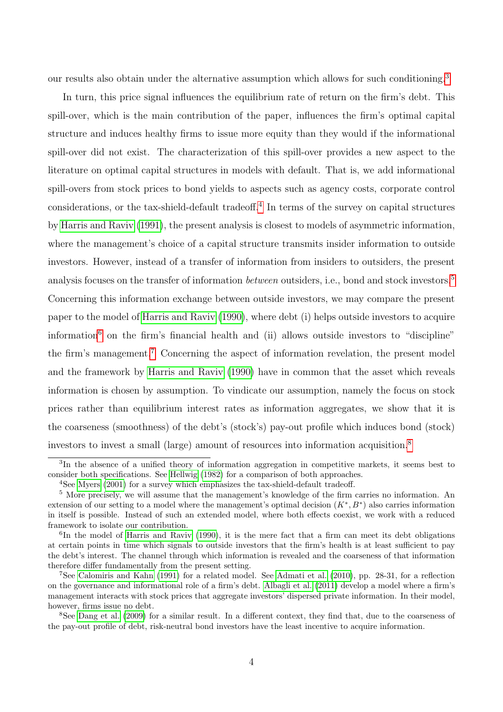our results also obtain under the alternative assumption which allows for such conditioning.<sup>[3](#page-5-0)</sup>

In turn, this price signal influences the equilibrium rate of return on the firm's debt. This spill-over, which is the main contribution of the paper, influences the firm's optimal capital structure and induces healthy firms to issue more equity than they would if the informational spill-over did not exist. The characterization of this spill-over provides a new aspect to the literature on optimal capital structures in models with default. That is, we add informational spill-overs from stock prices to bond yields to aspects such as agency costs, corporate control considerations, or the tax-shield-default tradeoff.[4](#page-5-1) In terms of the survey on capital structures by [Harris and Raviv \(1991\)](#page-28-0), the present analysis is closest to models of asymmetric information, where the management's choice of a capital structure transmits insider information to outside investors. However, instead of a transfer of information from insiders to outsiders, the present analysis focuses on the transfer of information *between* outsiders, i.e., bond and stock investors.<sup>[5](#page-5-2)</sup> Concerning this information exchange between outside investors, we may compare the present paper to the model of [Harris and Raviv \(1990\)](#page-28-5), where debt (i) helps outside investors to acquire information<sup>[6](#page-5-3)</sup> on the firm's financial health and (ii) allows outside investors to "discipline" the firm's management.[7](#page-5-4) Concerning the aspect of information revelation, the present model and the framework by [Harris and Raviv \(1990\)](#page-28-5) have in common that the asset which reveals information is chosen by assumption. To vindicate our assumption, namely the focus on stock prices rather than equilibrium interest rates as information aggregates, we show that it is the coarseness (smoothness) of the debt's (stock's) pay-out profile which induces bond (stock) investors to invest a small (large) amount of resources into information acquisition.[8](#page-5-5)

<span id="page-5-0"></span><sup>&</sup>lt;sup>3</sup>In the absence of a unified theory of information aggregation in competitive markets, it seems best to consider both specifications. See [Hellwig](#page-29-0) [\(1982\)](#page-29-0) for a comparison of both approaches.

<span id="page-5-2"></span><span id="page-5-1"></span><sup>&</sup>lt;sup>4</sup>See [Myers](#page-29-1) [\(2001\)](#page-29-1) for a survey which emphasizes the tax-shield-default tradeoff.

<sup>5</sup> More precisely, we will assume that the management's knowledge of the firm carries no information. An extension of our setting to a model where the management's optimal decision  $(K^*, B^*)$  also carries information in itself is possible. Instead of such an extended model, where both effects coexist, we work with a reduced framework to isolate our contribution.

<span id="page-5-3"></span><sup>&</sup>lt;sup>6</sup>In the model of [Harris and Raviv](#page-28-5) [\(1990\)](#page-28-5), it is the mere fact that a firm can meet its debt obligations at certain points in time which signals to outside investors that the firm's health is at least sufficient to pay the debt's interest. The channel through which information is revealed and the coarseness of that information therefore differ fundamentally from the present setting.

<span id="page-5-4"></span><sup>7</sup>See [Calomiris and Kahn](#page-28-6) [\(1991\)](#page-28-6) for a related model. See [Admati et al.](#page-28-7) [\(2010\)](#page-28-7), pp. 28-31, for a reflection on the governance and informational role of a firm's debt. [Albagli et al.](#page-28-8) [\(2011\)](#page-28-8) develop a model where a firm's management interacts with stock prices that aggregate investors' dispersed private information. In their model, however, firms issue no debt.

<span id="page-5-5"></span><sup>8</sup>See [Dang et al.](#page-28-9) [\(2009\)](#page-28-9) for a similar result. In a different context, they find that, due to the coarseness of the pay-out profile of debt, risk-neutral bond investors have the least incentive to acquire information.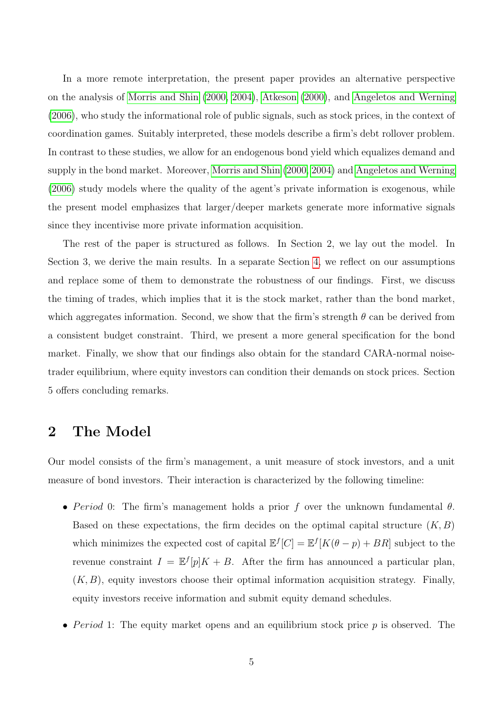In a more remote interpretation, the present paper provides an alternative perspective on the analysis of [Morris and Shin \(2000,](#page-29-2) [2004\)](#page-29-3), [Atkeson \(2000\)](#page-28-10), and [Angeletos and Werning](#page-28-11) [\(2006\)](#page-28-11), who study the informational role of public signals, such as stock prices, in the context of coordination games. Suitably interpreted, these models describe a firm's debt rollover problem. In contrast to these studies, we allow for an endogenous bond yield which equalizes demand and supply in the bond market. Moreover, [Morris and Shin \(2000,](#page-29-2) [2004\)](#page-29-3) and [Angeletos and Werning](#page-28-11) [\(2006\)](#page-28-11) study models where the quality of the agent's private information is exogenous, while the present model emphasizes that larger/deeper markets generate more informative signals since they incentivise more private information acquisition.

The rest of the paper is structured as follows. In Section 2, we lay out the model. In Section 3, we derive the main results. In a separate Section [4,](#page-17-0) we reflect on our assumptions and replace some of them to demonstrate the robustness of our findings. First, we discuss the timing of trades, which implies that it is the stock market, rather than the bond market, which aggregates information. Second, we show that the firm's strength  $\theta$  can be derived from a consistent budget constraint. Third, we present a more general specification for the bond market. Finally, we show that our findings also obtain for the standard CARA-normal noisetrader equilibrium, where equity investors can condition their demands on stock prices. Section 5 offers concluding remarks.

## 2 The Model

Our model consists of the firm's management, a unit measure of stock investors, and a unit measure of bond investors. Their interaction is characterized by the following timeline:

- Period 0: The firm's management holds a prior f over the unknown fundamental  $\theta$ . Based on these expectations, the firm decides on the optimal capital structure  $(K, B)$ which minimizes the expected cost of capital  $\mathbb{E}^{f}[C] = \mathbb{E}^{f}[K(\theta - p) + BR]$  subject to the revenue constraint  $I = \mathbb{E}^{f}[p]K + B$ . After the firm has announced a particular plan,  $(K, B)$ , equity investors choose their optimal information acquisition strategy. Finally, equity investors receive information and submit equity demand schedules.
- Period 1: The equity market opens and an equilibrium stock price  $p$  is observed. The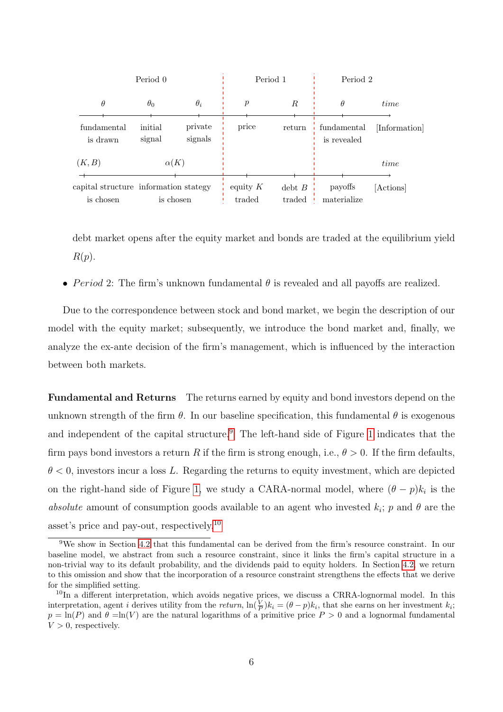| Period 0                                                        |                   |                      | Period 1             |                        | Period 2                   |               |
|-----------------------------------------------------------------|-------------------|----------------------|----------------------|------------------------|----------------------------|---------------|
| $\theta$                                                        | $\theta_0$        | $\theta_i$           | р                    | R                      | θ                          | time          |
| fundamental<br>is drawn                                         | initial<br>signal | private<br>signals   | price                | return                 | fundamental<br>is revealed | [Information] |
| (K, B)                                                          | $\alpha(K)$       |                      |                      |                        |                            | time          |
| capital structure information stategy<br>is chosen<br>is chosen |                   | equity $K$<br>traded | $debt$ $B$<br>traded | payoffs<br>materialize | [Actions]                  |               |

debt market opens after the equity market and bonds are traded at the equilibrium yield  $R(p).$ 

• Period 2: The firm's unknown fundamental  $\theta$  is revealed and all payoffs are realized.

Due to the correspondence between stock and bond market, we begin the description of our model with the equity market; subsequently, we introduce the bond market and, finally, we analyze the ex-ante decision of the firm's management, which is influenced by the interaction between both markets.

Fundamental and Returns The returns earned by equity and bond investors depend on the unknown strength of the firm  $\theta$ . In our baseline specification, this fundamental  $\theta$  is exogenous and independent of the capital structure.<sup>[9](#page-7-0)</sup> The left-hand side of Figure [1](#page-8-0) indicates that the firm pays bond investors a return R if the firm is strong enough, i.e.,  $\theta > 0$ . If the firm defaults,  $\theta$  < 0, investors incur a loss L. Regarding the returns to equity investment, which are depicted on the right-hand side of Figure [1,](#page-8-0) we study a CARA-normal model, where  $(\theta - p)k_i$  is the absolute amount of consumption goods available to an agent who invested  $k_i$ ; p and  $\theta$  are the asset's price and pay-out, respectively.[10](#page-7-1)

<span id="page-7-0"></span><sup>9</sup>We show in Section [4.2](#page-19-0) that this fundamental can be derived from the firm's resource constraint. In our baseline model, we abstract from such a resource constraint, since it links the firm's capital structure in a non-trivial way to its default probability, and the dividends paid to equity holders. In Section [4.2,](#page-19-0) we return to this omission and show that the incorporation of a resource constraint strengthens the effects that we derive for the simplified setting.

<span id="page-7-1"></span> $10$ In a different interpretation, which avoids negative prices, we discuss a CRRA-lognormal model. In this interpretation, agent *i* derives utility from the return,  $\ln(\frac{V}{P})k_i = (\theta - p)k_i$ , that she earns on her investment  $k_i$ ;  $p = \ln(P)$  and  $\theta = \ln(V)$  are the natural logarithms of a primitive price  $P > 0$  and a lognormal fundamental  $V > 0$ , respectively.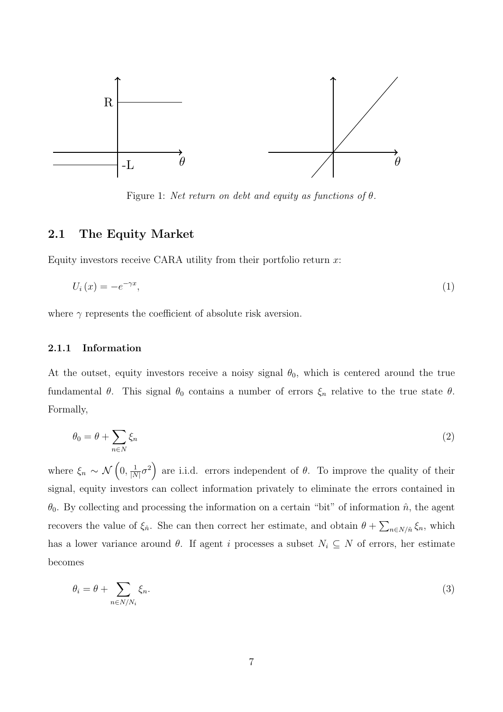

<span id="page-8-0"></span>Figure 1: Net return on debt and equity as functions of  $\theta$ .

### 2.1 The Equity Market

Equity investors receive CARA utility from their portfolio return  $x$ :

<span id="page-8-3"></span>
$$
U_i(x) = -e^{-\gamma x},\tag{1}
$$

where  $\gamma$  represents the coefficient of absolute risk aversion.

#### 2.1.1 Information

At the outset, equity investors receive a noisy signal  $\theta_0$ , which is centered around the true fundamental  $\theta$ . This signal  $\theta_0$  contains a number of errors  $\xi_n$  relative to the true state  $\theta$ . Formally,

<span id="page-8-1"></span>
$$
\theta_0 = \theta + \sum_{n \in N} \xi_n \tag{2}
$$

where  $\xi_n \sim \mathcal{N}\left(0, \frac{1}{\vert \Lambda \vert}\right)$  $\frac{1}{|N|}\sigma^2$  are i.i.d. errors independent of  $\theta$ . To improve the quality of their signal, equity investors can collect information privately to eliminate the errors contained in  $\theta_0$ . By collecting and processing the information on a certain "bit" of information  $\hat{n}$ , the agent recovers the value of  $\xi_{\hat{n}}$ . She can then correct her estimate, and obtain  $\theta + \sum_{n \in N/\hat{n}} \xi_n$ , which has a lower variance around  $\theta$ . If agent i processes a subset  $N_i \subseteq N$  of errors, her estimate becomes

<span id="page-8-2"></span>
$$
\theta_i = \theta + \sum_{n \in N/N_i} \xi_n. \tag{3}
$$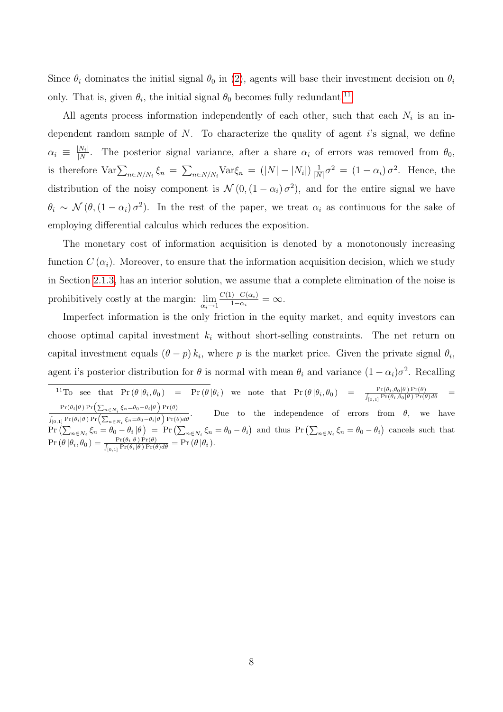Since  $\theta_i$  dominates the initial signal  $\theta_0$  in [\(2\)](#page-8-1), agents will base their investment decision on  $\theta_i$ only. That is, given  $\theta_i$ , the initial signal  $\theta_0$  becomes fully redundant.<sup>[11](#page-9-0)</sup>

All agents process information independently of each other, such that each  $N_i$  is an independent random sample of  $N$ . To characterize the quality of agent is signal, we define  $\alpha_i \equiv \frac{|N_i|}{|N|}$  $\frac{|N_i|}{|N|}$ . The posterior signal variance, after a share  $\alpha_i$  of errors was removed from  $\theta_0$ , is therefore  $\text{Var}\sum_{n\in N/N_i}\xi_n = \sum_{n\in N/N_i}\text{Var}\xi_n = (|N| - |N_i|)\frac{1}{|N_i|}$  $\frac{1}{|N|}\sigma^2 = (1-\alpha_i)\sigma^2$ . Hence, the distribution of the noisy component is  $\mathcal{N}(0, (1 - \alpha_i)\sigma^2)$ , and for the entire signal we have  $\theta_i \sim \mathcal{N}(\theta, (1-\alpha_i)\sigma^2)$ . In the rest of the paper, we treat  $\alpha_i$  as continuous for the sake of employing differential calculus which reduces the exposition.

The monetary cost of information acquisition is denoted by a monotonously increasing function  $C(\alpha_i)$ . Moreover, to ensure that the information acquisition decision, which we study in Section [2.1.3,](#page-11-0) has an interior solution, we assume that a complete elimination of the noise is prohibitively costly at the margin:  $\lim_{\alpha_i \to 1} \frac{C(1) - C(\alpha_i)}{1 - \alpha_i}$  $\frac{1-C(\alpha_i)}{1-\alpha_i}=\infty.$ 

Imperfect information is the only friction in the equity market, and equity investors can choose optimal capital investment  $k_i$  without short-selling constraints. The net return on capital investment equals  $(\theta - p) k_i$ , where p is the market price. Given the private signal  $\theta_i$ , agent i's posterior distribution for  $\theta$  is normal with mean  $\theta_i$  and variance  $(1 - \alpha_i)\sigma^2$ . Recalling

<span id="page-9-0"></span><sup>11</sup>To see that  $\Pr(\theta | \theta_i, \theta_0) = \Pr(\theta | \theta_i)$  we note that  $\Pr(\theta | \theta_i, \theta_0) = \frac{\Pr(\theta_i, \theta_0 | \theta) \Pr(\theta)}{\int_{[0,1]} \Pr(\theta_i, \theta_0 | \theta) \Pr(\theta) d\theta}$  $\Pr(\theta_i|\theta) \Pr\left(\sum_{n \in N_i} \xi_n = \theta_0 - \theta_i|\theta\right) \Pr(\theta)$  $\int_{[0,1]} \Pr(\theta_i | \theta) \Pr\left( \sum_{n \in N_i} \xi_n = \theta_0 - \theta_i | \theta \right) \Pr(\theta) d\theta$ Due to the independence of errors from  $\theta$ , we have  $\Pr\left(\sum_{n\in\mathbb{N}_i} \xi_n = \theta_0 - \theta_i | \theta\right) = \Pr\left(\sum_{n\in\mathbb{N}_i} \xi_n = \theta_0 - \theta_i\right)$  and thus  $\Pr\left(\sum_{n\in\mathbb{N}_i} \xi_n = \theta_0 - \theta_i\right)$  cancels such that  $\Pr(\theta|\theta_i, \theta_0) = \frac{\Pr(\theta_i|\theta) \Pr(\theta)}{\int_{[0,1]} \Pr(\theta_i|\theta) \Pr(\theta) d\theta} = \Pr(\theta|\theta_i).$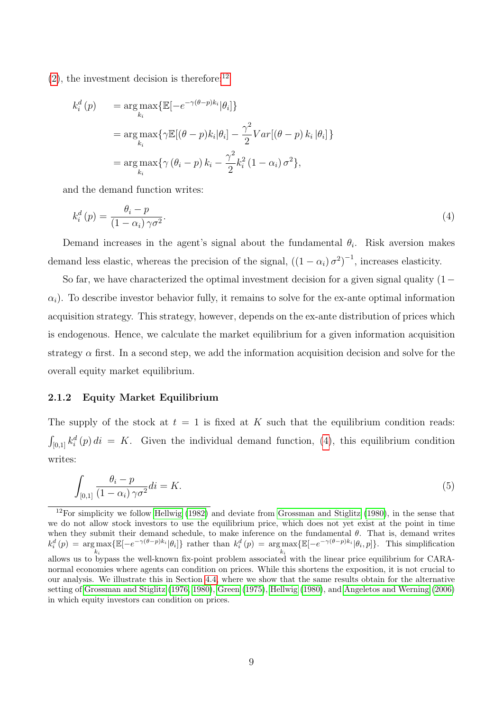$(2)$ , the investment decision is therefore:<sup>[12](#page-10-0)</sup>

<span id="page-10-1"></span>
$$
k_i^d(p) = \underset{k_i}{\arg \max} \{ \mathbb{E}[-e^{-\gamma(\theta - p)k_i}|\theta_i] \}
$$
  
=  $\underset{k_i}{\arg \max} \{ \gamma \mathbb{E}[(\theta - p)k_i|\theta_i] - \frac{\gamma^2}{2}Var[(\theta - p)k_i|\theta_i] \}$   
=  $\underset{k_i}{\arg \max} \{ \gamma (\theta_i - p) k_i - \frac{\gamma^2}{2}k_i^2 (1 - \alpha_i) \sigma^2 \},$ 

and the demand function writes:

$$
k_i^d(p) = \frac{\theta_i - p}{(1 - \alpha_i)\gamma \sigma^2}.
$$
\n<sup>(4)</sup>

Demand increases in the agent's signal about the fundamental  $\theta_i$ . Risk aversion makes demand less elastic, whereas the precision of the signal,  $((1 - \alpha_i)\sigma^2)^{-1}$ , increases elasticity.

So far, we have characterized the optimal investment decision for a given signal quality (1−  $\alpha_i$ ). To describe investor behavior fully, it remains to solve for the ex-ante optimal information acquisition strategy. This strategy, however, depends on the ex-ante distribution of prices which is endogenous. Hence, we calculate the market equilibrium for a given information acquisition strategy  $\alpha$  first. In a second step, we add the information acquisition decision and solve for the overall equity market equilibrium.

#### 2.1.2 Equity Market Equilibrium

The supply of the stock at  $t = 1$  is fixed at K such that the equilibrium condition reads:  $\int_{[0,1]} k_i^d(p) di = K$ . Given the individual demand function, [\(4\)](#page-10-1), this equilibrium condition writes:

$$
\int_{[0,1]} \frac{\theta_i - p}{(1 - \alpha_i)\gamma \sigma^2} di = K. \tag{5}
$$

<span id="page-10-0"></span> $12$ For simplicity we follow [Hellwig](#page-29-0) [\(1982\)](#page-29-0) and deviate from [Grossman and Stiglitz](#page-28-2) [\(1980\)](#page-28-2), in the sense that we do not allow stock investors to use the equilibrium price, which does not yet exist at the point in time when they submit their demand schedule, to make inference on the fundamental  $\theta$ . That is, demand writes  $k_i^d(p) = \arg \max$  $k_i$  $\{\mathbb{E}[-e^{-\gamma(\theta-p)k_i}|\theta_i]\}\)$  rather than  $k_i^d(p) = \arg \max$  $k_i$  $\{\mathbb{E}[-e^{-\gamma(\theta-p)k_i}|\theta_i,p]\}.$  This simplification allows us to bypass the well-known fix-point problem associated with the linear price equilibrium for CARAnormal economies where agents can condition on prices. While this shortens the exposition, it is not crucial to our analysis. We illustrate this in Section [4.4,](#page-20-0) where we show that the same results obtain for the alternative setting of [Grossman and Stiglitz](#page-28-1) [\(1976,](#page-28-1) [1980\)](#page-28-2), [Green](#page-28-3) [\(1975\)](#page-28-3), [Hellwig](#page-28-4) [\(1980\)](#page-28-4), and [Angeletos and Werning](#page-28-11) [\(2006\)](#page-28-11) in which equity investors can condition on prices.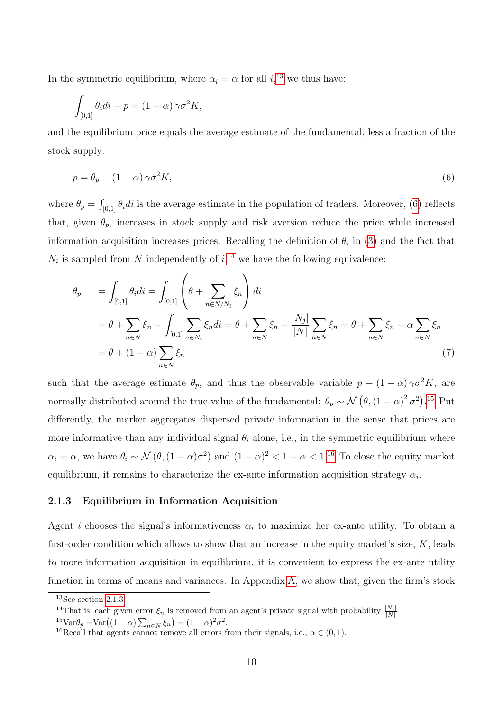In the symmetric equilibrium, where  $\alpha_i = \alpha$  for all  $i,$ <sup>[13](#page-11-1)</sup> we thus have:

<span id="page-11-2"></span>
$$
\int_{[0,1]} \theta_i di - p = (1 - \alpha) \gamma \sigma^2 K,
$$

and the equilibrium price equals the average estimate of the fundamental, less a fraction of the stock supply:

$$
p = \theta_p - (1 - \alpha)\gamma\sigma^2 K,\tag{6}
$$

where  $\theta_p = \int_{[0,1]} \theta_i di$  is the average estimate in the population of traders. Moreover, [\(6\)](#page-11-2) reflects that, given  $\theta_p$ , increases in stock supply and risk aversion reduce the price while increased information acquisition increases prices. Recalling the definition of  $\theta_i$  in [\(3\)](#page-8-2) and the fact that  $N_i$  is sampled from N independently of  $i, 14$  $i, 14$  we have the following equivalence:

$$
\theta_p = \int_{[0,1]} \theta_i di = \int_{[0,1]} \left( \theta + \sum_{n \in N/N_i} \xi_n \right) di
$$
  
=  $\theta + \sum_{n \in N} \xi_n - \int_{[0,1]} \sum_{n \in N_i} \xi_n di = \theta + \sum_{n \in N} \xi_n - \frac{|N_j|}{|N|} \sum_{n \in N} \xi_n = \theta + \sum_{n \in N} \xi_n - \alpha \sum_{n \in N} \xi_n$   
=  $\theta + (1 - \alpha) \sum_{n \in N} \xi_n$  (7)

such that the average estimate  $\theta_p$ , and thus the observable variable  $p + (1 - \alpha) \gamma \sigma^2 K$ , are normally distributed around the true value of the fundamental:  $\theta_p \sim \mathcal{N}(\theta, (1-\alpha)^2 \sigma^2)$ .<sup>[15](#page-11-4)</sup> Put differently, the market aggregates dispersed private information in the sense that prices are more informative than any individual signal  $\theta_i$  alone, i.e., in the symmetric equilibrium where  $\alpha_i = \alpha$ , we have  $\theta_i \sim \mathcal{N}(\theta, (1-\alpha)\sigma^2)$  and  $(1-\alpha)^2 < 1-\alpha < 1^{16}$  $(1-\alpha)^2 < 1-\alpha < 1^{16}$  $(1-\alpha)^2 < 1-\alpha < 1^{16}$  To close the equity market equilibrium, it remains to characterize the ex-ante information acquisition strategy  $\alpha_i$ .

#### <span id="page-11-0"></span>2.1.3 Equilibrium in Information Acquisition

Agent *i* chooses the signal's informativeness  $\alpha_i$  to maximize her ex-ante utility. To obtain a first-order condition which allows to show that an increase in the equity market's size,  $K$ , leads to more information acquisition in equilibrium, it is convenient to express the ex-ante utility function in terms of means and variances. In Appendix [A,](#page-22-0) we show that, given the firm's stock

<span id="page-11-1"></span> $13$ See section [2.1.3.](#page-11-0)

<span id="page-11-3"></span><sup>&</sup>lt;sup>14</sup>That is, each given error  $\xi_n$  is removed from an agent's private signal with probability  $\frac{|N_i|}{|N|}$ 

<span id="page-11-4"></span> $15 \text{Var}\theta_p = \text{Var}((1-\alpha)\sum_{n\in N} \xi_n) = (1-\alpha)^2 \sigma^2.$ 

<span id="page-11-5"></span><sup>&</sup>lt;sup>16</sup>Recall that agents cannot remove all errors from their signals, i.e.,  $\alpha \in (0,1)$ .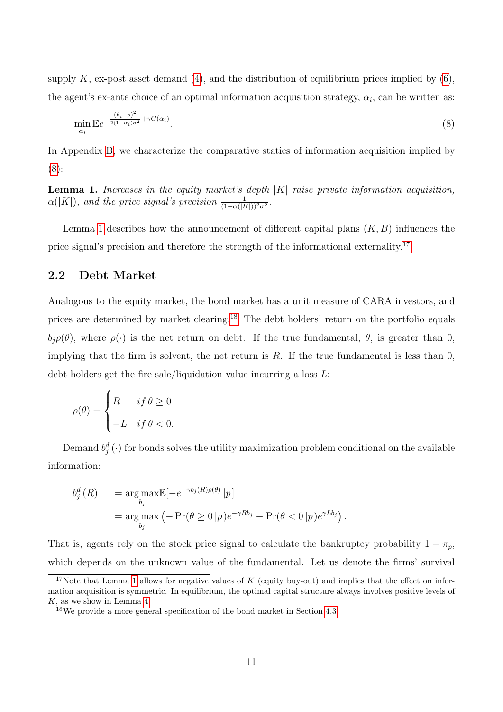supply K, ex-post asset demand [\(4\)](#page-10-1), and the distribution of equilibrium prices implied by  $(6)$ , the agent's ex-ante choice of an optimal information acquisition strategy,  $\alpha_i$ , can be written as:

<span id="page-12-0"></span>
$$
\min_{\alpha_i} \mathbb{E} e^{-\frac{(\theta_i - p)^2}{2(1 - \alpha_i)\sigma^2} + \gamma C(\alpha_i)}.
$$
\n
$$
(8)
$$

In Appendix [B,](#page-23-0) we characterize the comparative statics of information acquisition implied by [\(8\)](#page-12-0):

<span id="page-12-1"></span>**Lemma 1.** Increases in the equity market's depth  $|K|$  raise private information acquisition,  $\alpha(|K|)$ , and the price signal's precision  $\frac{1}{(1-\alpha(|K|))^2\sigma^2}$ .

Lemma [1](#page-12-1) describes how the announcement of different capital plans  $(K, B)$  influences the price signal's precision and therefore the strength of the informational externality.<sup>[17](#page-12-2)</sup>

## 2.2 Debt Market

Analogous to the equity market, the bond market has a unit measure of CARA investors, and prices are determined by market clearing.[18](#page-12-3) The debt holders' return on the portfolio equals  $b_i \rho(\theta)$ , where  $\rho(\cdot)$  is the net return on debt. If the true fundamental,  $\theta$ , is greater than 0, implying that the firm is solvent, the net return is  $R$ . If the true fundamental is less than  $0$ , debt holders get the fire-sale/liquidation value incurring a loss L:

$$
\rho(\theta) = \begin{cases} R & \text{if } \theta \ge 0 \\ -L & \text{if } \theta < 0. \end{cases}
$$

Demand  $b_j^d(\cdot)$  for bonds solves the utility maximization problem conditional on the available information:

$$
b_j^d(R) = \underset{b_j}{\arg \max} \mathbb{E}[-e^{-\gamma b_j(R)\rho(\theta)}|p]
$$
  
= 
$$
\underset{b_j}{\arg \max} \left(-\Pr(\theta \ge 0 | p)e^{-\gamma R b_j} - \Pr(\theta < 0 | p)e^{\gamma L b_j}\right).
$$

That is, agents rely on the stock price signal to calculate the bankruptcy probability  $1 - \pi_p$ , which depends on the unknown value of the fundamental. Let us denote the firms' survival

<span id="page-12-2"></span><sup>&</sup>lt;sup>17</sup>Note that Lemma [1](#page-12-1) allows for negative values of K (equity buy-out) and implies that the effect on information acquisition is symmetric. In equilibrium, the optimal capital structure always involves positive levels of K, as we show in Lemma [4.](#page-25-0)

<span id="page-12-3"></span><sup>18</sup>We provide a more general specification of the bond market in Section [4.3.](#page-19-1)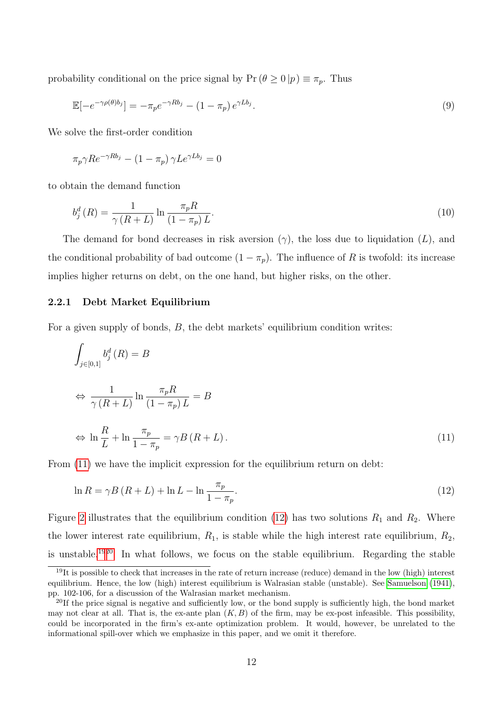probability conditional on the price signal by  $Pr(\theta \ge 0 | p) \equiv \pi_p$ . Thus

$$
\mathbb{E}\left[-e^{-\gamma \rho(\theta)b_j}\right] = -\pi_p e^{-\gamma R b_j} - (1 - \pi_p) e^{\gamma L b_j}.
$$
\n
$$
(9)
$$

We solve the first-order condition

$$
\pi_p \gamma R e^{-\gamma R b_j} - (1 - \pi_p) \gamma L e^{\gamma L b_j} = 0
$$

to obtain the demand function

$$
b_j^d(R) = \frac{1}{\gamma(R+L)} \ln \frac{\pi_p R}{(1-\pi_p)L}.
$$
\n
$$
(10)
$$

The demand for bond decreases in risk aversion  $(\gamma)$ , the loss due to liquidation  $(L)$ , and the conditional probability of bad outcome  $(1 - \pi_p)$ . The influence of R is twofold: its increase implies higher returns on debt, on the one hand, but higher risks, on the other.

#### 2.2.1 Debt Market Equilibrium

For a given supply of bonds, B, the debt markets' equilibrium condition writes:

<span id="page-13-0"></span>
$$
\int_{j\in[0,1]} b_j^d(R) = B
$$
\n
$$
\Leftrightarrow \frac{1}{\gamma(R+L)} \ln \frac{\pi_p R}{(1-\pi_p)L} = B
$$
\n
$$
\Leftrightarrow \ln \frac{R}{L} + \ln \frac{\pi_p}{1-\pi_p} = \gamma B(R+L).
$$
\n(11)

From  $(11)$  we have the implicit expression for the equilibrium return on debt:

<span id="page-13-1"></span>
$$
\ln R = \gamma B \left( R + L \right) + \ln L - \ln \frac{\pi_p}{1 - \pi_p}.\tag{12}
$$

Figure [2](#page-14-0) illustrates that the equilibrium condition [\(12\)](#page-13-1) has two solutions  $R_1$  and  $R_2$ . Where the lower interest rate equilibrium,  $R_1$ , is stable while the high interest rate equilibrium,  $R_2$ , is unstable.[19](#page-13-2)[20](#page-13-3) In what follows, we focus on the stable equilibrium. Regarding the stable

<span id="page-13-2"></span> $19$ It is possible to check that increases in the rate of return increase (reduce) demand in the low (high) interest equilibrium. Hence, the low (high) interest equilibrium is Walrasian stable (unstable). See [Samuelson](#page-29-4) [\(1941\)](#page-29-4), pp. 102-106, for a discussion of the Walrasian market mechanism.

<span id="page-13-3"></span><sup>&</sup>lt;sup>20</sup>If the price signal is negative and sufficiently low, or the bond supply is sufficiently high, the bond market may not clear at all. That is, the ex-ante plan  $(K, B)$  of the firm, may be ex-post infeasible. This possibility, could be incorporated in the firm's ex-ante optimization problem. It would, however, be unrelated to the informational spill-over which we emphasize in this paper, and we omit it therefore.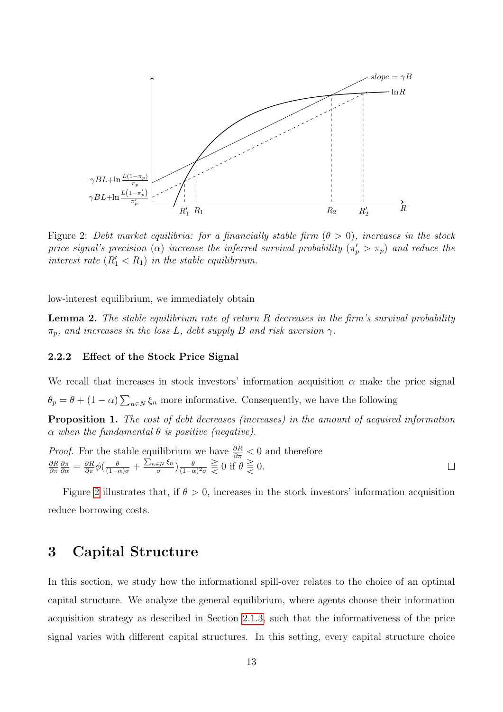

<span id="page-14-0"></span>Figure 2: Debt market equilibria: for a financially stable firm  $(\theta > 0)$ , increases in the stock price signal's precision ( $\alpha$ ) increase the inferred survival probability ( $\pi_p' > \pi_p$ ) and reduce the interest rate  $(R'_1 < R_1)$  in the stable equilibrium.

<span id="page-14-2"></span>low-interest equilibrium, we immediately obtain

**Lemma 2.** The stable equilibrium rate of return  $R$  decreases in the firm's survival probability  $\pi_p$ , and increases in the loss L, debt supply B and risk aversion  $\gamma$ .

#### 2.2.2 Effect of the Stock Price Signal

 $\theta_p = \theta + (1 - \alpha) \sum_{n \in \mathbb{N}} \xi_n$  more informative. Consequently, we have the following We recall that increases in stock investors' information acquisition  $\alpha$  make the price signal

<span id="page-14-1"></span>Proposition 1. The cost of debt decreases (increases) in the amount of acquired information  $\alpha$  when the fundamental  $\theta$  is positive (negative).

*Proof.* For the stable equilibrium we have 
$$
\frac{\partial R}{\partial \pi} < 0
$$
 and therefore  $\frac{\partial R}{\partial \pi} \frac{\partial \pi}{\partial \alpha} = \frac{\partial R}{\partial \pi} \phi \left( \frac{\theta}{(1-\alpha)\sigma} + \frac{\sum_{n \in N} \xi_n}{\sigma} \right) \frac{\theta}{(1-\alpha)^2 \sigma} \geq 0$  if  $\theta \geq 0$ .

Figure [2](#page-14-0) illustrates that, if  $\theta > 0$ , increases in the stock investors' information acquisition reduce borrowing costs.

## 3 Capital Structure

In this section, we study how the informational spill-over relates to the choice of an optimal capital structure. We analyze the general equilibrium, where agents choose their information acquisition strategy as described in Section [2.1.3,](#page-11-0) such that the informativeness of the price signal varies with different capital structures. In this setting, every capital structure choice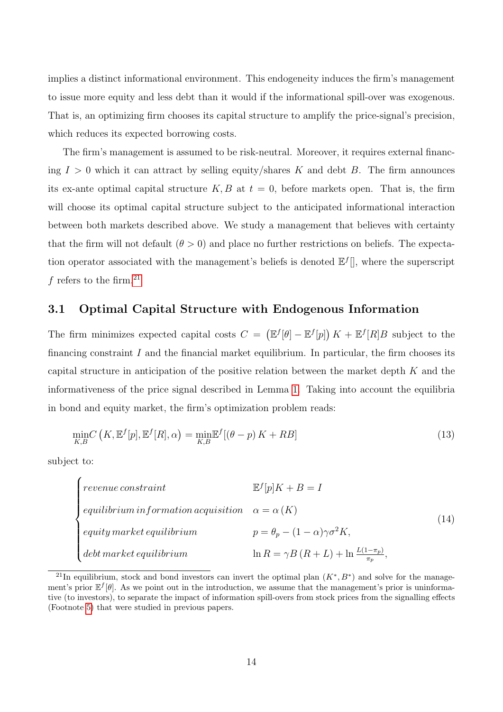implies a distinct informational environment. This endogeneity induces the firm's management to issue more equity and less debt than it would if the informational spill-over was exogenous. That is, an optimizing firm chooses its capital structure to amplify the price-signal's precision, which reduces its expected borrowing costs.

The firm's management is assumed to be risk-neutral. Moreover, it requires external financing  $I > 0$  which it can attract by selling equity/shares K and debt B. The firm announces its ex-ante optimal capital structure  $K, B$  at  $t = 0$ , before markets open. That is, the firm will choose its optimal capital structure subject to the anticipated informational interaction between both markets described above. We study a management that believes with certainty that the firm will not default  $(\theta > 0)$  and place no further restrictions on beliefs. The expectation operator associated with the management's beliefs is denoted  $\mathbb{E}^{f}$ , where the superscript f refers to the firm.<sup>[21](#page-15-0)</sup>

## 3.1 Optimal Capital Structure with Endogenous Information

The firm minimizes expected capital costs  $C = (\mathbb{E}^f[\theta] - \mathbb{E}^f[p]) K + \mathbb{E}^f[R]B$  subject to the financing constraint  $I$  and the financial market equilibrium. In particular, the firm chooses its capital structure in anticipation of the positive relation between the market depth K and the informativeness of the price signal described in Lemma [1.](#page-12-1) Taking into account the equilibria in bond and equity market, the firm's optimization problem reads:

<span id="page-15-1"></span>
$$
\min_{K,B} C\left(K, \mathbb{E}^f[p], \mathbb{E}^f[R], \alpha\right) = \min_{K,B} \mathbb{E}^f[(\theta - p)K + RB] \tag{13}
$$

subject to:

<span id="page-15-2"></span>

| $revenue$ $constraint$                                    | $\mathbb{E}^f[p]K + B = I$                                 |      |  |
|-----------------------------------------------------------|------------------------------------------------------------|------|--|
| equilibrium in formation acquisition $\alpha = \alpha(K)$ |                                                            |      |  |
| $\equiv$ equity market equilibrium                        | $p = \theta_n - (1 - \alpha)\gamma\sigma^2 K$              | (14) |  |
| $\int$ debt market equilibrium                            | $\ln R = \gamma B (R + L) + \ln \frac{L(1-\pi_p)}{\pi_p},$ |      |  |

<span id="page-15-0"></span><sup>&</sup>lt;sup>21</sup>In equilibrium, stock and bond investors can invert the optimal plan  $(K^*, B^*)$  and solve for the management's prior  $E^f[\theta]$ . As we point out in the introduction, we assume that the management's prior is uninformative (to investors), to separate the impact of information spill-overs from stock prices from the signalling effects (Footnote [5\)](#page-5-2) that were studied in previous papers.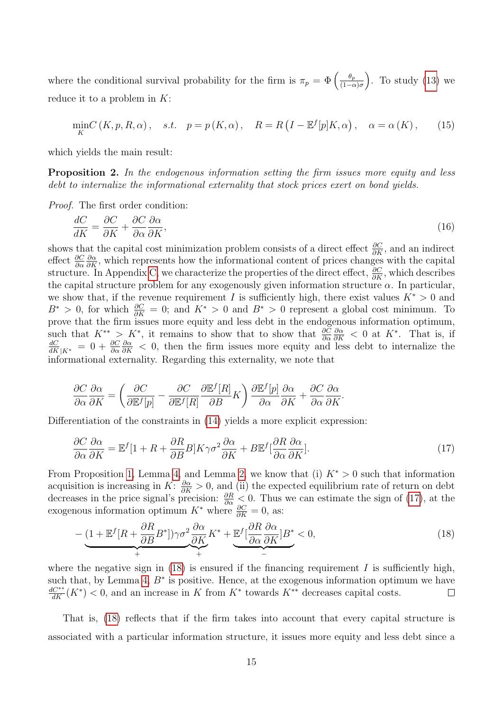where the conditional survival probability for the firm is  $\pi_p = \Phi\left(\frac{\theta_p}{(1-\epsilon_p)^2}\right)$  $\frac{\theta_p}{(1-\alpha)\sigma}$ . To study [\(13\)](#page-15-1) we reduce it to a problem in K:

$$
\min_{K} C(K, p, R, \alpha), \quad s.t. \quad p = p(K, \alpha), \quad R = R\left(I - \mathbb{E}^f[p]K, \alpha\right), \quad \alpha = \alpha(K), \tag{15}
$$

which yields the main result:

**Proposition 2.** In the endogenous information setting the firm issues more equity and less debt to internalize the informational externality that stock prices exert on bond yields.

Proof. The first order condition:

$$
\frac{dC}{dK} = \frac{\partial C}{\partial K} + \frac{\partial C}{\partial \alpha} \frac{\partial \alpha}{\partial K},\tag{16}
$$

shows that the capital cost minimization problem consists of a direct effect  $\frac{\partial C}{\partial K}$ , and an indirect effect  $\frac{\partial C}{\partial \alpha}$  $\frac{\partial \alpha}{\partial K}$ , which represents how the informational content of prices changes with the capital structure. In Appendix [C,](#page-24-0) we characterize the properties of the direct effect,  $\frac{\partial C}{\partial K}$ , which describes the capital structure problem for any exogenously given information structure  $\alpha$ . In particular, we show that, if the revenue requirement I is sufficiently high, there exist values  $K^* > 0$  and  $B^* > 0$ , for which  $\frac{\partial C}{\partial K} = 0$ ; and  $K^* > 0$  and  $B^* > 0$  represent a global cost minimum. To prove that the firm issues more equity and less debt in the endogenous information optimum, such that  $K^{**} > K^*$ , it remains to show that to show that  $\frac{\partial C}{\partial \alpha}$  $\frac{\partial \alpha}{\partial K}$  < 0 at K<sup>\*</sup>. That is, if  $\frac{dC}{dK}_{|K^*}$  = 0 +  $\frac{\partial C}{\partial \alpha}$  $\frac{\partial \alpha}{\partial K}$  < 0, then the firm issues more equity and less debt to internalize the informational externality. Regarding this externality, we note that

$$
\frac{\partial C}{\partial \alpha} \frac{\partial \alpha}{\partial K} = \left( \frac{\partial C}{\partial \mathbb{E}^f[p]} - \frac{\partial C}{\partial \mathbb{E}^f[R]} \frac{\partial \mathbb{E}^f[R]}{\partial B} K \right) \frac{\partial \mathbb{E}^f[p]}{\partial \alpha} \frac{\partial \alpha}{\partial K} + \frac{\partial C}{\partial \alpha} \frac{\partial \alpha}{\partial K}.
$$

Differentiation of the constraints in [\(14\)](#page-15-2) yields a more explicit expression:

<span id="page-16-0"></span>
$$
\frac{\partial C}{\partial \alpha} \frac{\partial \alpha}{\partial K} = \mathbb{E}^f [1 + R + \frac{\partial R}{\partial B} B] K \gamma \sigma^2 \frac{\partial \alpha}{\partial K} + B \mathbb{E}^f [\frac{\partial R}{\partial \alpha} \frac{\partial \alpha}{\partial K}]. \tag{17}
$$

From Proposition [1,](#page-14-1) Lemma [4,](#page-25-0) and Lemma [2,](#page-14-2) we know that (i)  $K^* > 0$  such that information acquisition is increasing in  $K: \frac{\partial \alpha}{\partial K} > 0$ , and (ii) the expected equilibrium rate of return on debt decreases in the price signal's precision:  $\frac{\partial R}{\partial \alpha} < 0$ . Thus we can estimate the sign of [\(17\)](#page-16-0), at the exogenous information optimum  $K^*$  where  $\frac{\partial C}{\partial K} = 0$ , as:

<span id="page-16-1"></span>
$$
-\underbrace{(1+\mathbb{E}^f[R+\frac{\partial R}{\partial B}B^*])\gamma\sigma^2\frac{\partial\alpha}{\partial K}K^*}_{+}+\underbrace{\mathbb{E}^f[\frac{\partial R}{\partial\alpha}\frac{\partial\alpha}{\partial K}]B^*}_{-}<0,
$$
\n(18)

where the negative sign in  $(18)$  is ensured if the financing requirement I is sufficiently high, such that, by Lemma [4,](#page-25-0)  $B^*$  is positive. Hence, at the exogenous information optimum we have  $\frac{dC^{**}}{dK}(K^*)$  < 0, and an increase in K from  $K^*$  towards  $K^{**}$  decreases capital costs.  $\Box$ 

That is, [\(18\)](#page-16-1) reflects that if the firm takes into account that every capital structure is associated with a particular information structure, it issues more equity and less debt since a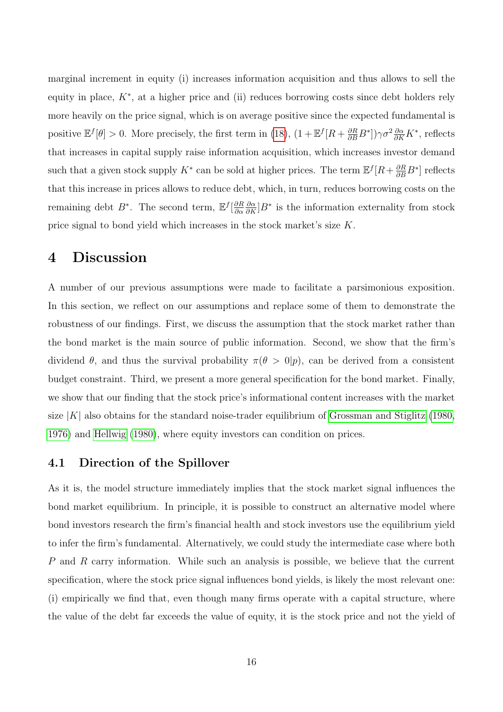marginal increment in equity (i) increases information acquisition and thus allows to sell the equity in place,  $K^*$ , at a higher price and (ii) reduces borrowing costs since debt holders rely more heavily on the price signal, which is on average positive since the expected fundamental is positive  $\mathbb{E}^f[\theta] > 0$ . More precisely, the first term in [\(18\)](#page-16-1),  $(1 + \mathbb{E}^f[R + \frac{\partial R}{\partial B}B^*])\gamma \sigma^2 \frac{\partial \alpha}{\partial K}K^*$ , reflects that increases in capital supply raise information acquisition, which increases investor demand such that a given stock supply  $K^*$  can be sold at higher prices. The term  $\mathbb{E}^f[R + \frac{\partial R}{\partial B}B^*]$  reflects that this increase in prices allows to reduce debt, which, in turn, reduces borrowing costs on the remaining debt  $B^*$ . The second term,  $E^f\left[\frac{\partial R}{\partial \alpha}\right]$ ∂α  $\frac{\partial \alpha}{\partial K}$ ] $B^*$  is the information externality from stock price signal to bond yield which increases in the stock market's size K.

# <span id="page-17-0"></span>4 Discussion

A number of our previous assumptions were made to facilitate a parsimonious exposition. In this section, we reflect on our assumptions and replace some of them to demonstrate the robustness of our findings. First, we discuss the assumption that the stock market rather than the bond market is the main source of public information. Second, we show that the firm's dividend  $\theta$ , and thus the survival probability  $\pi(\theta > 0|p)$ , can be derived from a consistent budget constraint. Third, we present a more general specification for the bond market. Finally, we show that our finding that the stock price's informational content increases with the market size  $|K|$  also obtains for the standard noise-trader equilibrium of [Grossman and Stiglitz \(1980,](#page-28-2) [1976\)](#page-28-1) and [Hellwig \(1980\)](#page-28-4), where equity investors can condition on prices.

### 4.1 Direction of the Spillover

As it is, the model structure immediately implies that the stock market signal influences the bond market equilibrium. In principle, it is possible to construct an alternative model where bond investors research the firm's financial health and stock investors use the equilibrium yield to infer the firm's fundamental. Alternatively, we could study the intermediate case where both P and R carry information. While such an analysis is possible, we believe that the current specification, where the stock price signal influences bond yields, is likely the most relevant one: (i) empirically we find that, even though many firms operate with a capital structure, where the value of the debt far exceeds the value of equity, it is the stock price and not the yield of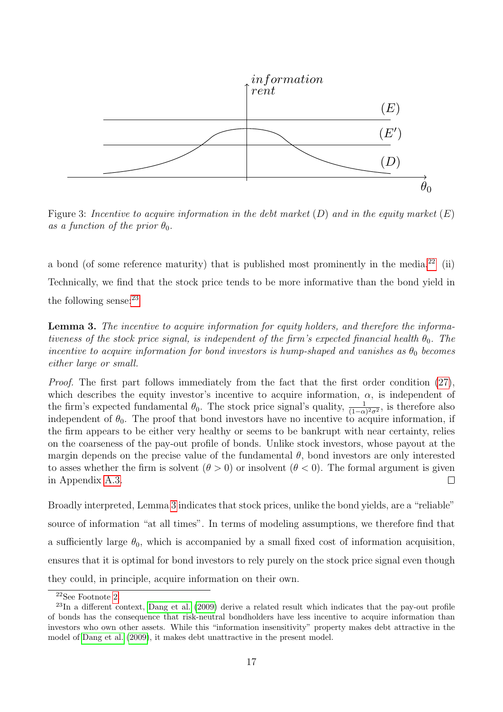

Figure 3: Incentive to acquire information in the debt market  $(D)$  and in the equity market  $(E)$ as a function of the prior  $\theta_0$ .

a bond (of some reference maturity) that is published most prominently in the media.<sup>[22](#page-18-0)</sup> (ii) Technically, we find that the stock price tends to be more informative than the bond yield in the following sense: $^{23}$  $^{23}$  $^{23}$ 

<span id="page-18-2"></span>Lemma 3. The incentive to acquire information for equity holders, and therefore the informativeness of the stock price signal, is independent of the firm's expected financial health  $\theta_0$ . The incentive to acquire information for bond investors is hump-shaped and vanishes as  $\theta_0$  becomes either large or small.

Proof. The first part follows immediately from the fact that the first order condition [\(27\)](#page-23-1), which describes the equity investor's incentive to acquire information,  $\alpha$ , is independent of the firm's expected fundamental  $\theta_0$ . The stock price signal's quality,  $\frac{1}{(1-\alpha)^2\sigma^2}$ , is therefore also independent of  $\theta_0$ . The proof that bond investors have no incentive to acquire information, if the firm appears to be either very healthy or seems to be bankrupt with near certainty, relies on the coarseness of the pay-out profile of bonds. Unlike stock investors, whose payout at the margin depends on the precise value of the fundamental  $\theta$ , bond investors are only interested to asses whether the firm is solvent  $(\theta > 0)$  or insolvent  $(\theta < 0)$ . The formal argument is given in Appendix [A.3.](#page-32-0)  $\Box$ 

source of information "at all times". In terms of modeling assumptions, we therefore find that Broadly interpreted, Lemma [3](#page-18-2) indicates that stock prices, unlike the bond yields, are a "reliable" a sufficiently large  $\theta_0$ , which is accompanied by a small fixed cost of information acquisition, ensures that it is optimal for bond investors to rely purely on the stock price signal even though they could, in principle, acquire information on their own.

<span id="page-18-1"></span><span id="page-18-0"></span><sup>22</sup>See Footnote [2.](#page-4-0)

<sup>23</sup>In a different context, [Dang et al.](#page-28-9) [\(2009\)](#page-28-9) derive a related result which indicates that the pay-out profile of bonds has the consequence that risk-neutral bondholders have less incentive to acquire information than investors who own other assets. While this "information insensitivity" property makes debt attractive in the model of [Dang et al.](#page-28-9) [\(2009\)](#page-28-9), it makes debt unattractive in the present model.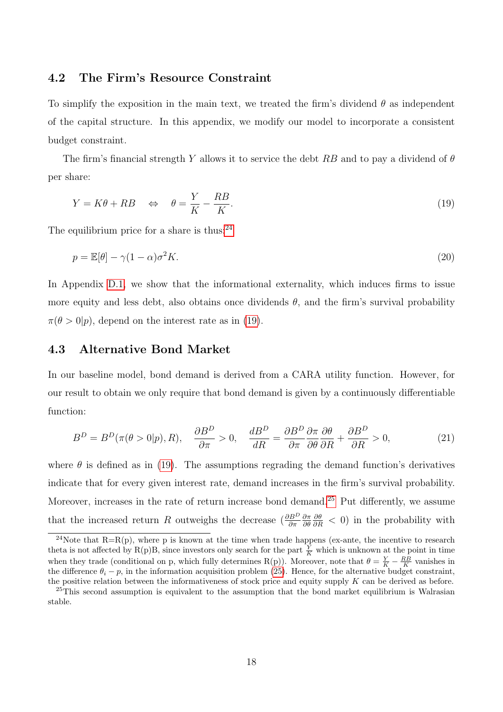#### <span id="page-19-0"></span>4.2 The Firm's Resource Constraint

To simplify the exposition in the main text, we treated the firm's dividend  $\theta$  as independent of the capital structure. In this appendix, we modify our model to incorporate a consistent budget constraint.

The firm's financial strength Y allows it to service the debt RB and to pay a dividend of  $\theta$ per share:

<span id="page-19-3"></span>
$$
Y = K\theta + RB \quad \Leftrightarrow \quad \theta = \frac{Y}{K} - \frac{RB}{K}.\tag{19}
$$

The equilibrium price for a share is thus: $24$ 

$$
p = \mathbb{E}[\theta] - \gamma (1 - \alpha) \sigma^2 K. \tag{20}
$$

In Appendix [D.1,](#page-27-0) we show that the informational externality, which induces firms to issue more equity and less debt, also obtains once dividends  $\theta$ , and the firm's survival probability  $\pi(\theta > 0 | p)$ , depend on the interest rate as in [\(19\)](#page-19-3).

## <span id="page-19-1"></span>4.3 Alternative Bond Market

In our baseline model, bond demand is derived from a CARA utility function. However, for our result to obtain we only require that bond demand is given by a continuously differentiable function:

<span id="page-19-5"></span>
$$
B^{D} = B^{D}(\pi(\theta > 0 | p), R), \quad \frac{\partial B^{D}}{\partial \pi} > 0, \quad \frac{dB^{D}}{dR} = \frac{\partial B^{D}}{\partial \pi} \frac{\partial \pi}{\partial \theta} \frac{\partial \theta}{\partial R} + \frac{\partial B^{D}}{\partial R} > 0, \tag{21}
$$

where  $\theta$  is defined as in [\(19\)](#page-19-3). The assumptions regrading the demand function's derivatives indicate that for every given interest rate, demand increases in the firm's survival probability. Moreover, increases in the rate of return increase bond demand.[25](#page-19-4) Put differently, we assume that the increased return R outweighs the decrease  $\left(\frac{\partial B^D}{\partial \pi}\right)$ ∂π ∂θ  $\frac{\partial \theta}{\partial R}$  < 0) in the probability with

<span id="page-19-2"></span><sup>&</sup>lt;sup>24</sup>Note that  $R=R(p)$ , where p is known at the time when trade happens (ex-ante, the incentive to research theta is not affected by R(p)B, since investors only search for the part  $\frac{Y}{K}$  which is unknown at the point in time when they trade (conditional on p, which fully determines R(p)). Moreover, note that  $\theta = \frac{Y}{K} - \frac{RB}{K}$  vanishes in the difference  $\theta_i - p$ , in the information acquisition problem [\(25\)](#page-22-1). Hence, for the alternative budget constraint, the positive relation between the informativeness of stock price and equity supply K can be derived as before.

<span id="page-19-4"></span><sup>&</sup>lt;sup>25</sup>This second assumption is equivalent to the assumption that the bond market equilibrium is Walrasian stable.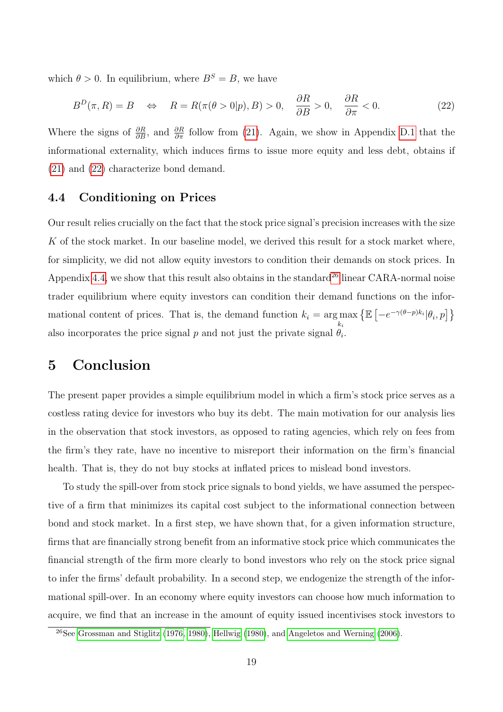which  $\theta > 0$ . In equilibrium, where  $B^S = B$ , we have

<span id="page-20-1"></span>
$$
B^{D}(\pi, R) = B \quad \Leftrightarrow \quad R = R(\pi(\theta > 0 | p), B) > 0, \quad \frac{\partial R}{\partial B} > 0, \quad \frac{\partial R}{\partial \pi} < 0. \tag{22}
$$

Where the signs of  $\frac{\partial R}{\partial B}$ , and  $\frac{\partial R}{\partial \pi}$  follow from [\(21\)](#page-19-5). Again, we show in Appendix [D.1](#page-27-0) that the informational externality, which induces firms to issue more equity and less debt, obtains if [\(21\)](#page-19-5) and [\(22\)](#page-20-1) characterize bond demand.

## <span id="page-20-0"></span>4.4 Conditioning on Prices

Our result relies crucially on the fact that the stock price signal's precision increases with the size K of the stock market. In our baseline model, we derived this result for a stock market where, for simplicity, we did not allow equity investors to condition their demands on stock prices. In Appendix [4.4,](#page-20-0) we show that this result also obtains in the standard<sup>[26](#page-20-2)</sup> linear CARA-normal noise trader equilibrium where equity investors can condition their demand functions on the informational content of prices. That is, the demand function  $k_i = \arg \max$  $k_i$  $\{\mathbb{E}\left[-e^{-\gamma(\theta-p)k_i}|\theta_i,p\right]\}$ also incorporates the price signal  $p$  and not just the private signal  $\theta_i$ .

## 5 Conclusion

The present paper provides a simple equilibrium model in which a firm's stock price serves as a costless rating device for investors who buy its debt. The main motivation for our analysis lies in the observation that stock investors, as opposed to rating agencies, which rely on fees from the firm's they rate, have no incentive to misreport their information on the firm's financial health. That is, they do not buy stocks at inflated prices to mislead bond investors.

To study the spill-over from stock price signals to bond yields, we have assumed the perspective of a firm that minimizes its capital cost subject to the informational connection between bond and stock market. In a first step, we have shown that, for a given information structure, firms that are financially strong benefit from an informative stock price which communicates the financial strength of the firm more clearly to bond investors who rely on the stock price signal to infer the firms' default probability. In a second step, we endogenize the strength of the informational spill-over. In an economy where equity investors can choose how much information to acquire, we find that an increase in the amount of equity issued incentivises stock investors to

<span id="page-20-2"></span><sup>26</sup>See [Grossman and Stiglitz](#page-28-1) [\(1976,](#page-28-1) [1980\)](#page-28-2), [Hellwig](#page-28-4) [\(1980\)](#page-28-4), and [Angeletos and Werning](#page-28-11) [\(2006\)](#page-28-11).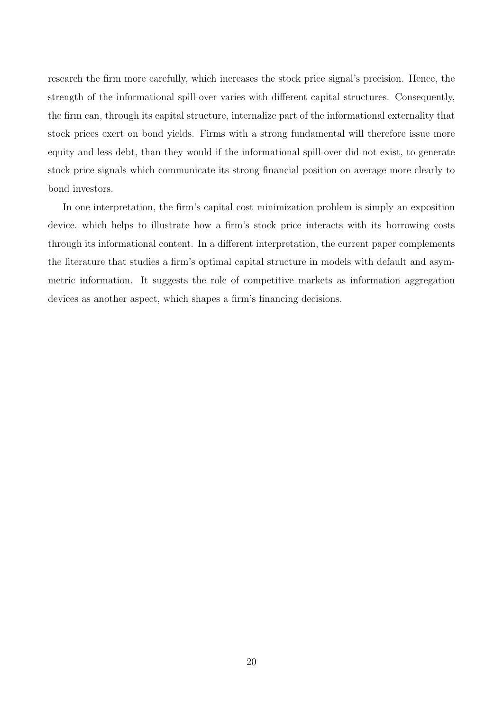research the firm more carefully, which increases the stock price signal's precision. Hence, the strength of the informational spill-over varies with different capital structures. Consequently, the firm can, through its capital structure, internalize part of the informational externality that stock prices exert on bond yields. Firms with a strong fundamental will therefore issue more equity and less debt, than they would if the informational spill-over did not exist, to generate stock price signals which communicate its strong financial position on average more clearly to bond investors.

In one interpretation, the firm's capital cost minimization problem is simply an exposition device, which helps to illustrate how a firm's stock price interacts with its borrowing costs through its informational content. In a different interpretation, the current paper complements the literature that studies a firm's optimal capital structure in models with default and asymmetric information. It suggests the role of competitive markets as information aggregation devices as another aspect, which shapes a firm's financing decisions.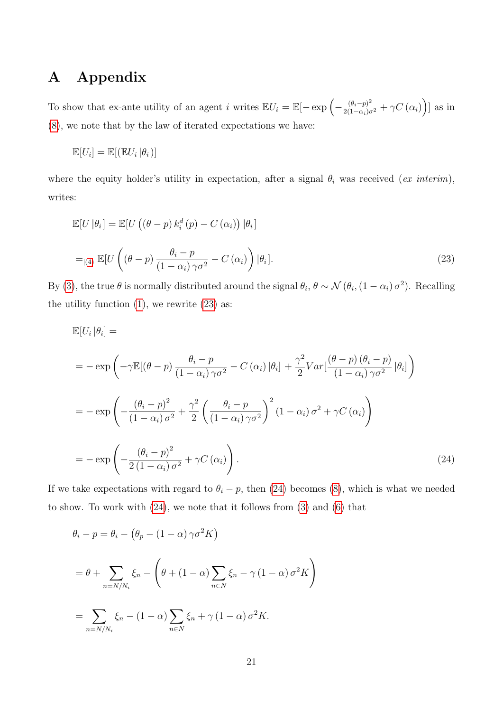# <span id="page-22-0"></span>A Appendix

To show that ex-ante utility of an agent i writes  $\mathbb{E}U_i = \mathbb{E}[-\exp\left(-\frac{(\theta_i - p)^2}{2(1 - \alpha_i)\sigma^2} + \gamma C(\alpha_i)\right)]$  as in [\(8\)](#page-12-0), we note that by the law of iterated expectations we have:

<span id="page-22-2"></span>
$$
\mathbb{E}[U_i] = \mathbb{E}[(\mathbb{E}U_i | \theta_i)]
$$

where the equity holder's utility in expectation, after a signal  $\theta_i$  was received (ex interim), writes:

$$
\mathbb{E}[U|\theta_i] = \mathbb{E}[U((\theta - p) k_i^d(p) - C(\alpha_i))|\theta_i]
$$
  
=<sub>|(4)</sub> 
$$
\mathbb{E}[U((\theta - p) \frac{\theta_i - p}{(1 - \alpha_i)\gamma \sigma^2} - C(\alpha_i))|\theta_i].
$$
 (23)

By [\(3\)](#page-8-2), the true  $\theta$  is normally distributed around the signal  $\theta_i$ ,  $\theta \sim \mathcal{N}(\theta_i, (1 - \alpha_i) \sigma^2)$ . Recalling the utility function  $(1)$ , we rewrite  $(23)$  as:

<span id="page-22-3"></span>
$$
\mathbb{E}[U_i|\theta_i] =
$$
\n
$$
= -\exp\left(-\gamma \mathbb{E}[(\theta - p)\frac{\theta_i - p}{(1 - \alpha_i)\gamma\sigma^2} - C(\alpha_i)|\theta_i] + \frac{\gamma^2}{2}Var\left[\frac{(\theta - p)(\theta_i - p)}{(1 - \alpha_i)\gamma\sigma^2}|\theta_i]\right)\right)
$$
\n
$$
= -\exp\left(-\frac{(\theta_i - p)^2}{(1 - \alpha_i)\sigma^2} + \frac{\gamma^2}{2}\left(\frac{\theta_i - p}{(1 - \alpha_i)\gamma\sigma^2}\right)^2(1 - \alpha_i)\sigma^2 + \gamma C(\alpha_i)\right)
$$
\n
$$
= -\exp\left(-\frac{(\theta_i - p)^2}{2(1 - \alpha_i)\sigma^2} + \gamma C(\alpha_i)\right).
$$
\n(24)

If we take expectations with regard to  $\theta_i - p$ , then [\(24\)](#page-22-3) becomes [\(8\)](#page-12-0), which is what we needed to show. To work with [\(24\)](#page-22-3), we note that it follows from [\(3\)](#page-8-2) and [\(6\)](#page-11-2) that

<span id="page-22-1"></span>
$$
\theta_i - p = \theta_i - (\theta_p - (1 - \alpha) \gamma \sigma^2 K)
$$
  
=  $\theta + \sum_{n=N/N_i} \xi_n - (\theta + (1 - \alpha) \sum_{n \in N} \xi_n - \gamma (1 - \alpha) \sigma^2 K)$   
=  $\sum_{n=N/N_i} \xi_n - (1 - \alpha) \sum_{n \in N} \xi_n + \gamma (1 - \alpha) \sigma^2 K.$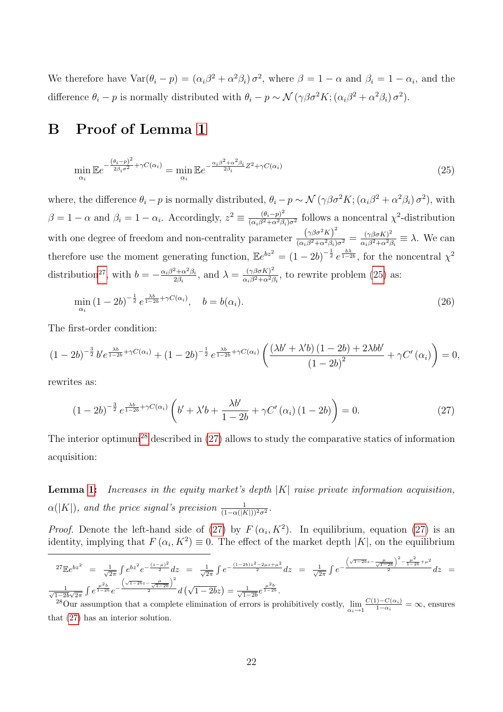We therefore have  $\text{Var}(\theta_i - p) = (\alpha_i \beta^2 + \alpha^2 \beta_i) \sigma^2$ , where  $\beta = 1 - \alpha$  and  $\beta_i = 1 - \alpha_i$ , and the difference  $\theta_i - p$  is normally distributed with  $\theta_i - p \sim \mathcal{N}(\gamma \beta \sigma^2 K; (\alpha_i \beta^2 + \alpha^2 \beta_i) \sigma^2)$ .

# <span id="page-23-0"></span>B Proof of Lemma [1](#page-12-1)

$$
\min_{\alpha_i} \mathbb{E} e^{-\frac{(\theta_i - p)^2}{2\beta_i \sigma^2} + \gamma C(\alpha_i)} = \min_{\alpha_i} \mathbb{E} e^{-\frac{\alpha_i \beta^2 + \alpha^2 \beta_i}{2\beta_i} Z^2 + \gamma C(\alpha_i)}
$$
\n(25)

where, the difference  $\theta_i - p$  is normally distributed,  $\theta_i - p \sim \mathcal{N}(\gamma \beta \sigma^2 K; (\alpha_i \beta^2 + \alpha^2 \beta_i) \sigma^2)$ , with  $\beta = 1 - \alpha$  and  $\beta_i = 1 - \alpha_i$ . Accordingly,  $z^2 \equiv \frac{(\theta_i - p)^2}{(\alpha_i \beta_i^2 + \alpha_i^2 \beta_i^2)}$  $\frac{(\theta_i - p)^2}{(\alpha_i \beta^2 + \alpha^2 \beta_i) \sigma^2}$  follows a noncentral  $\chi^2$ -distribution with one degree of freedom and non-centrality parameter  $\frac{(\gamma\beta\sigma^2 K)^2}{(\alpha\beta^2+\alpha^2\beta)}$  $\frac{\left(\gamma\beta\sigma^{2}K\right)^{2}}{(\alpha_{i}\beta^{2}+\alpha^{2}\beta_{i})\sigma^{2}}=\frac{(\gamma\beta\sigma K)^{2}}{\alpha_{i}\beta^{2}+\alpha^{2}\beta_{i}}$  $\frac{(\gamma\beta\sigma\kappa)^2}{\alpha_i\beta^2+\alpha^2\beta_i} \equiv \lambda$ . We can therefore use the moment generating function,  $\mathbb{E}e^{bz^2} = (1-2b)^{-\frac{1}{2}}e^{\frac{b\lambda}{1-2b}}$ , for the noncentral  $\chi^2$ distribution<sup>[27](#page-23-2)</sup>, with  $b = -\frac{\alpha_i \beta^2 + \alpha^2 \beta_i}{2\beta_i}$  $\frac{2+\alpha^2\beta_i}{2\beta_i}$ , and  $\lambda = \frac{(\gamma\beta\sigma K)^2}{\alpha_i\beta^2 + \alpha^2\beta_i}$  $\frac{(\gamma\beta\sigma\kappa)}{\alpha_i\beta^2+\alpha^2\beta_i}$ , to rewrite problem [\(25\)](#page-22-1) as:

$$
\min_{\alpha_i} (1 - 2b)^{-\frac{1}{2}} e^{\frac{\lambda b}{1 - 2b} + \gamma C(\alpha_i)}, \quad b = b(\alpha_i). \tag{26}
$$

The first-order condition:

<span id="page-23-1"></span>
$$
(1-2b)^{-\frac{3}{2}}b'e^{\frac{\lambda b}{1-2b}+\gamma C(\alpha_i)}+(1-2b)^{-\frac{1}{2}}e^{\frac{\lambda b}{1-2b}+\gamma C(\alpha_i)}\left(\frac{(\lambda b'+\lambda'b)(1-2b)+2\lambda bb'}{(1-2b)^2}+\gamma C'(\alpha_i)\right)=0,
$$

rewrites as:

$$
(1-2b)^{-\frac{3}{2}}e^{\frac{\lambda b}{1-2b}+\gamma C(\alpha_i)}\left(b'+\lambda'b+\frac{\lambda b'}{1-2b}+\gamma C'(\alpha_i)\left(1-2b\right)\right)=0.\tag{27}
$$

The interior optimum<sup>[28](#page-23-3)</sup> described in  $(27)$  allows to study the comparative statics of information acquisition:

**Lemma [1:](#page-12-1)** Increases in the equity market's depth  $|K|$  raise private information acquisition,  $\alpha(|K|)$ , and the price signal's precision  $\frac{1}{(1-\alpha(|K|))^2\sigma^2}$ .

*Proof.* Denote the left-hand side of [\(27\)](#page-23-1) by  $F(\alpha_i, K^2)$ . In equilibrium, equation (27) is an identity, implying that  $F(\alpha_i, K^2) \equiv 0$ . The effect of the market depth  $|K|$ , on the equilibrium

<span id="page-23-2"></span>
$$
{}^{27}\mathbb{E}e^{bz^2} = \frac{1}{\sqrt{2\pi}}\int e^{bz^2}e^{-\frac{(z-\mu)^2}{2}}dz = \frac{1}{\sqrt{2\pi}}\int e^{-\frac{(1-2b)z^2 - 2\mu z + \mu^2}{2}}dz = \frac{1}{\sqrt{2\pi}}\int e^{-\frac{\left(\sqrt{1-2b}z - \frac{\mu}{\sqrt{1-2b}}\right)^2 - \frac{\mu^2}{1-2b} + \mu^2}{2}}dz = \frac{1}{\sqrt{1-2b}\sqrt{2\pi}}\int e^{\frac{\mu^2 b}{1-2b}}e^{-\frac{\left(\sqrt{1-2b}z - \frac{\mu}{\sqrt{1-2b}}\right)^2}{2}}dz = \frac{1}{\sqrt{1-2b}\sqrt{2\pi}}\int e^{\frac{\mu^2 b}{1-2b}}e^{-\frac{\left(\sqrt{1-2b}z - \frac{\mu}{\sqrt{1-2b}}\right)^2}{2}}dz = \frac{1}{\sqrt{1-2b}}\left(\sqrt{1-2b}z\right) = \frac{1}{\sqrt{1-2b}}e^{\frac{\mu^2 b}{1-2b}}.
$$

<span id="page-23-3"></span> $\frac{1-2b\sqrt{2\pi}}{2}$  J  $\sim$   $\frac{a(\sqrt{1-2b\sqrt{1-2b}})}{\sqrt{1-2b}}$ .  $\frac{1-C(\alpha_i)}{1-\alpha_i} = \infty$ , ensures that [\(27\)](#page-23-1) has an interior solution.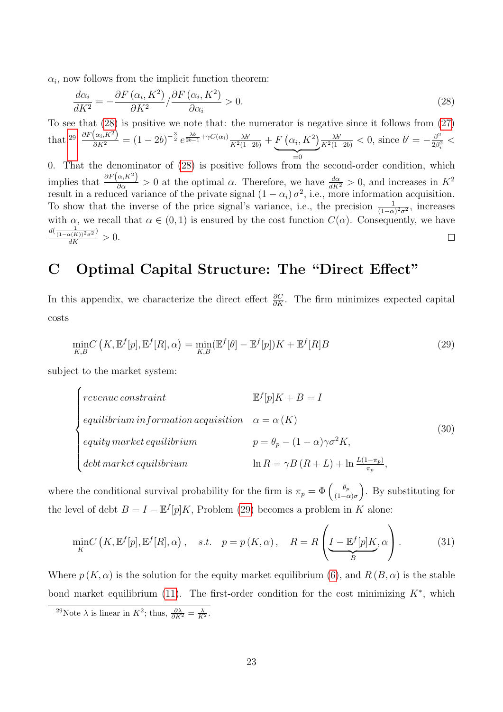$\alpha_i$ , now follows from the implicit function theorem:

<span id="page-24-1"></span>
$$
\frac{d\alpha_i}{dK^2} = -\frac{\partial F(\alpha_i, K^2)}{\partial K^2} / \frac{\partial F(\alpha_i, K^2)}{\partial \alpha_i} > 0.
$$
\n(28)

To see that [\(28\)](#page-24-1) is positive we note that: the numerator is negative since it follows from [\(27\)](#page-23-1) that:<sup>[29](#page-24-2)</sup>  $\frac{\partial F(\alpha_i, K^2)}{\partial K^2} = (1 - 2b)^{-\frac{3}{2}} e^{\frac{\lambda b}{2b-1} + \gamma C(\alpha_i)} \frac{\lambda b'}{K^2(1-2b)} + F(\alpha_i, K^2)$  $=0$ =0  $\frac{\lambda b'}{K^2(1-2b)} < 0$ , since  $b' = -\frac{\beta^2}{2\beta_s^2}$  $\frac{\beta^2}{2\beta_i^2}$  <

0. That the denominator of [\(28\)](#page-24-1) is positive follows from the second-order condition, which implies that  $\frac{\partial F(\alpha,K^2)}{\partial \alpha} > 0$  at the optimal  $\alpha$ . Therefore, we have  $\frac{d\alpha}{dK^2} > 0$ , and increases in  $K^2$ result in a reduced variance of the private signal  $(1 - \alpha_i) \sigma^2$ , i.e., more information acquisition. To show that the inverse of the price signal's variance, i.e., the precision  $\frac{1}{(1-\alpha)^2\sigma^2}$ , increases with  $\alpha$ , we recall that  $\alpha \in (0,1)$  is ensured by the cost function  $C(\alpha)$ . Consequently, we have  $\frac{d(\frac{1}{(1-\alpha(K))^2\sigma^2})}{dK} > 0.$  $\Box$ 

# <span id="page-24-0"></span>C Optimal Capital Structure: The "Direct Effect"

In this appendix, we characterize the direct effect  $\frac{\partial C}{\partial K}$ . The firm minimizes expected capital costs

<span id="page-24-3"></span>
$$
\min_{K,B} C\left(K, \mathbb{E}^f[p], \mathbb{E}^f[R], \alpha\right) = \min_{K,B} (\mathbb{E}^f[\theta] - \mathbb{E}^f[p])K + \mathbb{E}^f[R]B\tag{29}
$$

subject to the market system:

<span id="page-24-4"></span>
$$
\begin{cases}\n\text{revenue constraint} & \mathbb{E}^f[p]K + B = I \\
\text{equilibrium information acquisition} & \alpha = \alpha(K) \\
\text{equity market equilibrium} & p = \theta_p - (1 - \alpha)\gamma\sigma^2 K, \\
\text{debt market equilibrium} & \ln R = \gamma B(R + L) + \ln \frac{L(1 - \pi_p)}{\pi_p},\n\end{cases}\n\tag{30}
$$

where the conditional survival probability for the firm is  $\pi_p = \Phi\left(\frac{\theta_p}{(1-\epsilon_p)^2}\right)$  $\frac{\theta_p}{(1-\alpha)\sigma}$ . By substituting for the level of debt  $B = I - \mathbb{E}^{f}[p]K$ , Problem [\(29\)](#page-24-3) becomes a problem in K alone:

$$
\min_{K} C\left(K, \mathbb{E}^f[p], \mathbb{E}^f[R], \alpha\right), \quad s.t. \quad p = p\left(K, \alpha\right), \quad R = R\left(\underbrace{I - \mathbb{E}^f[p]K}_{B}, \alpha\right). \tag{31}
$$

Where  $p(K, \alpha)$  is the solution for the equity market equilibrium [\(6\)](#page-11-2), and  $R(B, \alpha)$  is the stable bond market equilibrium [\(11\)](#page-13-0). The first-order condition for the cost minimizing  $K^*$ , which

<span id="page-24-2"></span><sup>&</sup>lt;sup>29</sup>Note  $\lambda$  is linear in  $K^2$ ; thus,  $\frac{\partial \lambda}{\partial K^2} = \frac{\lambda}{K^2}$ .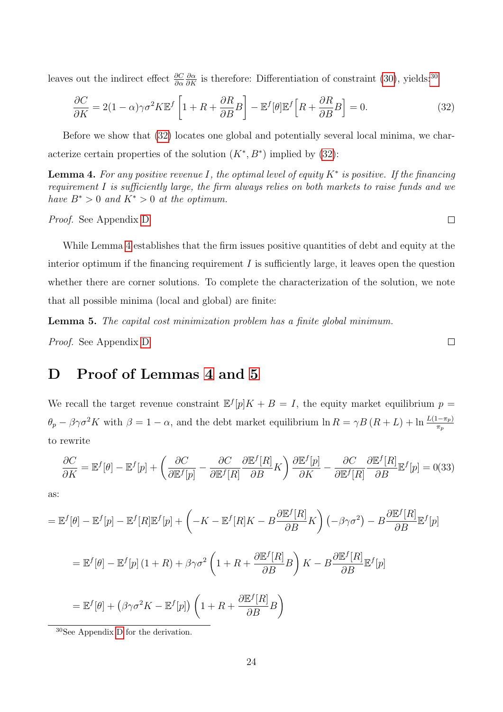leaves out the indirect effect  $\frac{\partial C}{\partial \alpha}$  $\frac{\partial \alpha}{\partial K}$  is therefore: Differentiation of constraint [\(30\)](#page-24-4), yields:<sup>[30](#page-25-1)</sup>

$$
\frac{\partial C}{\partial K} = 2(1 - \alpha)\gamma\sigma^2 K \mathbb{E}^f \left[ 1 + R + \frac{\partial R}{\partial B} B \right] - \mathbb{E}^f [\theta] \mathbb{E}^f \left[ R + \frac{\partial R}{\partial B} B \right] = 0. \tag{32}
$$

Before we show that [\(32\)](#page-25-2) locates one global and potentially several local minima, we characterize certain properties of the solution  $(K^*, B^*)$  implied by  $(32)$ :

<span id="page-25-0"></span>**Lemma 4.** For any positive revenue I, the optimal level of equity  $K^*$  is positive. If the financing requirement I is sufficiently large, the firm always relies on both markets to raise funds and we have  $B^* > 0$  and  $K^* > 0$  at the optimum.

#### Proof. See Appendix [D](#page-25-3)

While Lemma [4](#page-25-0) establishes that the firm issues positive quantities of debt and equity at the interior optimum if the financing requirement  $I$  is sufficiently large, it leaves open the question whether there are corner solutions. To complete the characterization of the solution, we note that all possible minima (local and global) are finite:

<span id="page-25-4"></span>Lemma 5. The capital cost minimization problem has a finite global minimum.

Proof. See Appendix [D](#page-25-3)

# <span id="page-25-3"></span>D Proof of Lemmas [4](#page-25-0) and [5](#page-25-4)

We recall the target revenue constraint  $\mathbb{E}^{f}[p]K + B = I$ , the equity market equilibrium  $p =$  $\theta_p - \beta \gamma \sigma^2 K$  with  $\beta = 1 - \alpha$ , and the debt market equilibrium  $\ln R = \gamma B (R + L) + \ln \frac{L(1 - \pi_p)}{\pi_p}$ to rewrite

$$
\frac{\partial C}{\partial K} = \mathbb{E}^f[\theta] - \mathbb{E}^f[p] + \left(\frac{\partial C}{\partial \mathbb{E}^f[p]} - \frac{\partial C}{\partial \mathbb{E}^f[R]} \frac{\partial \mathbb{E}^f[R]}{\partial B}K\right) \frac{\partial \mathbb{E}^f[p]}{\partial K} - \frac{\partial C}{\partial \mathbb{E}^f[R]} \frac{\partial \mathbb{E}^f[R]}{\partial B} \mathbb{E}^f[p] = 0(33)
$$

as:

$$
= \mathbb{E}^{f}[\theta] - \mathbb{E}^{f}[p] - \mathbb{E}^{f}[R]\mathbb{E}^{f}[p] + \left(-K - \mathbb{E}^{f}[R]K - B\frac{\partial \mathbb{E}^{f}[R]}{\partial B}K\right)\left(-\beta\gamma\sigma^{2}\right) - B\frac{\partial \mathbb{E}^{f}[R]}{\partial B}\mathbb{E}^{f}[p]
$$

$$
= \mathbb{E}^{f}[\theta] - \mathbb{E}^{f}[p](1+R) + \beta\gamma\sigma^{2}\left(1+R + \frac{\partial \mathbb{E}^{f}[R]}{\partial B}B\right)K - B\frac{\partial \mathbb{E}^{f}[R]}{\partial B}\mathbb{E}^{f}[p]
$$

$$
= \mathbb{E}^{f}[\theta] + \left(\beta\gamma\sigma^{2}K - \mathbb{E}^{f}[p]\right)\left(1+R + \frac{\partial \mathbb{E}^{f}[R]}{\partial B}B\right)
$$

<span id="page-25-1"></span><sup>30</sup>See Appendix [D](#page-25-3) for the derivation.

 $\Box$ 

<span id="page-25-2"></span> $\Box$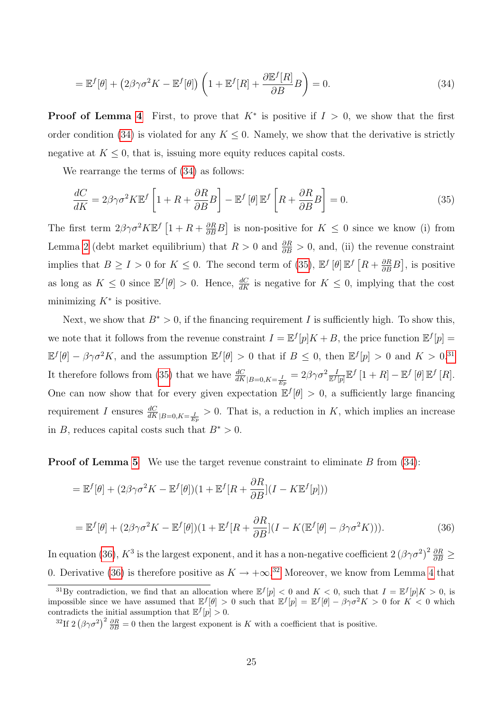<span id="page-26-0"></span>
$$
= \mathbb{E}^f[\theta] + (2\beta\gamma\sigma^2 K - \mathbb{E}^f[\theta]) \left( 1 + \mathbb{E}^f[R] + \frac{\partial \mathbb{E}^f[R]}{\partial B} B \right) = 0.
$$
 (34)

**Proof of Lemma [4](#page-25-0)** First, to prove that  $K^*$  is positive if  $I > 0$ , we show that the first order condition [\(34\)](#page-26-0) is violated for any  $K \leq 0$ . Namely, we show that the derivative is strictly negative at  $K \leq 0$ , that is, issuing more equity reduces capital costs.

We rearrange the terms of [\(34\)](#page-26-0) as follows:

<span id="page-26-1"></span>
$$
\frac{dC}{dK} = 2\beta\gamma\sigma^2 K \mathbb{E}^f \left[ 1 + R + \frac{\partial R}{\partial B} B \right] - \mathbb{E}^f \left[ \theta \right] \mathbb{E}^f \left[ R + \frac{\partial R}{\partial B} B \right] = 0. \tag{35}
$$

The first term  $2\beta\gamma\sigma^2 K\mathbb{E}^f\left[1+R+\frac{\partial R}{\partial B}B\right]$  is non-positive for  $K \leq 0$  since we know (i) from Lemma [2](#page-14-2) (debt market equilibrium) that  $R > 0$  and  $\frac{\partial R}{\partial B} > 0$ , and, (ii) the revenue constraint implies that  $B \ge I > 0$  for  $K \le 0$ . The second term of [\(35\)](#page-26-1),  $\mathbb{E}^f[\theta] \mathbb{E}^f[R + \frac{\partial R}{\partial B}B]$ , is positive as long as  $K \leq 0$  since  $\mathbb{E}^f[\theta] > 0$ . Hence,  $\frac{dC}{dK}$  is negative for  $K \leq 0$ , implying that the cost minimizing  $K^*$  is positive.

Next, we show that  $B^* > 0$ , if the financing requirement I is sufficiently high. To show this, we note that it follows from the revenue constraint  $I = \mathbb{E}^{f}[p]K + B$ , the price function  $\mathbb{E}^{f}[p] =$  $\mathbb{E}^f[\theta] - \beta\gamma\sigma^2 K$ , and the assumption  $\mathbb{E}^f[\theta] > 0$  that if  $B \leq 0$ , then  $\mathbb{E}^f[p] > 0$  and  $K > 0$ .<sup>[31](#page-26-2)</sup> It therefore follows from [\(35\)](#page-26-1) that we have  $\frac{dC}{dK}_{|B=0,K=\frac{I}{Ep}} = 2\beta\gamma\sigma^2 \frac{I}{\mathbb{E}^f[p]}\mathbb{E}^f[1+R] - \mathbb{E}^f[\theta]\mathbb{E}^f[R]$ . One can now show that for every given expectation  $\mathbb{E}^f[\theta] > 0$ , a sufficiently large financing requirement I ensures  $\frac{dC}{dK}_{|B=0,K=\frac{I}{Ep}} > 0$ . That is, a reduction in K, which implies an increase in B, reduces capital costs such that  $B^* > 0$ .

**Proof of Lemma [5](#page-25-4)** We use the target revenue constraint to eliminate B from  $(34)$ :

$$
= \mathbb{E}^{f}[\theta] + (2\beta\gamma\sigma^{2}K - \mathbb{E}^{f}[\theta])(1 + \mathbb{E}^{f}[R + \frac{\partial R}{\partial B}](I - K\mathbb{E}^{f}[p]))
$$
  

$$
= \mathbb{E}^{f}[\theta] + (2\beta\gamma\sigma^{2}K - \mathbb{E}^{f}[\theta])(1 + \mathbb{E}^{f}[R + \frac{\partial R}{\partial B}](I - K(\mathbb{E}^{f}[\theta] - \beta\gamma\sigma^{2}K))).
$$
(36)

<span id="page-26-3"></span>In equation [\(36\)](#page-26-3),  $K^3$  is the largest exponent, and it has a non-negative coefficient  $2(\beta\gamma\sigma^2)^2\frac{\partial R}{\partial B}\geq$ 0. Derivative [\(36\)](#page-26-3) is therefore positive as  $K \to +\infty^{32}$  $K \to +\infty^{32}$  $K \to +\infty^{32}$  Moreover, we know from Lemma [4](#page-25-0) that

<span id="page-26-2"></span><sup>&</sup>lt;sup>31</sup>By contradiction, we find that an allocation where  $\mathbb{E}^{f}[p] < 0$  and  $K < 0$ , such that  $I = \mathbb{E}^{f}[p]K > 0$ , is impossible since we have assumed that  $E^f[\theta] > 0$  such that  $E^f[p] = E^f[\theta] - \beta \gamma \sigma^2 K > 0$  for  $K < 0$  which contradicts the initial assumption that  $\mathbb{E}^{f}[p] > 0$ .

<span id="page-26-4"></span><sup>&</sup>lt;sup>32</sup>If 2  $(\beta\gamma\sigma^2)^2 \frac{\partial R}{\partial B} = 0$  then the largest exponent is K with a coefficient that is positive.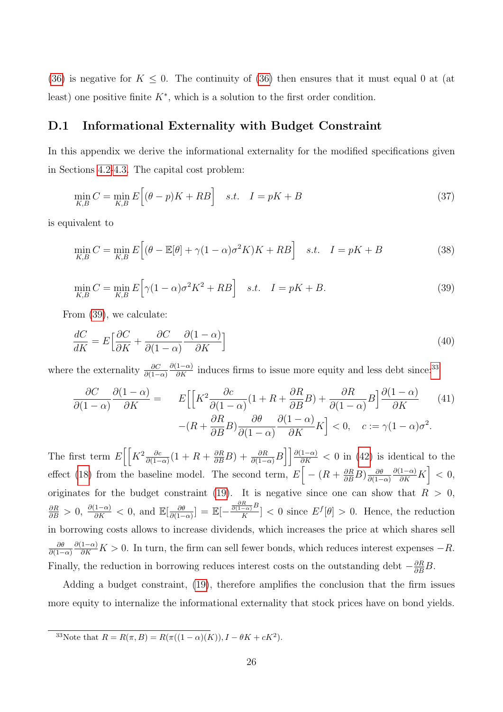[\(36\)](#page-26-3) is negative for  $K \leq 0$ . The continuity of [\(36\)](#page-26-3) then ensures that it must equal 0 at (at least) one positive finite  $K^*$ , which is a solution to the first order condition.

### <span id="page-27-0"></span>D.1 Informational Externality with Budget Constraint

In this appendix we derive the informational externality for the modified specifications given in Sections [4.2-](#page-19-0)[4.3.](#page-19-1) The capital cost problem:

$$
\min_{K,B} C = \min_{K,B} E\left[ (\theta - p)K + RB \right] \quad s.t. \quad I = pK + B \tag{37}
$$

is equivalent to

$$
\min_{K,B} C = \min_{K,B} E\Big[ (\theta - \mathbb{E}[\theta] + \gamma (1 - \alpha)\sigma^2 K)K + RB \Big] \quad s.t. \quad I = pK + B \tag{38}
$$

<span id="page-27-1"></span>
$$
\min_{K,B} C = \min_{K,B} E\Big[\gamma(1-\alpha)\sigma^2 K^2 + RB\Big] \quad s.t. \quad I = pK + B. \tag{39}
$$

From [\(39\)](#page-27-1), we calculate:

$$
\frac{dC}{dK} = E \left[ \frac{\partial C}{\partial K} + \frac{\partial C}{\partial (1 - \alpha)} \frac{\partial (1 - \alpha)}{\partial K} \right]
$$
(40)

where the externality  $\frac{\partial C}{\partial (1-\alpha)}$  $\frac{\partial(1-\alpha)}{\partial K}$  induces firms to issue more equity and less debt since:<sup>[33](#page-27-2)</sup>

<span id="page-27-3"></span>
$$
\frac{\partial C}{\partial (1-\alpha)} \frac{\partial (1-\alpha)}{\partial K} = E \Big[ \Big[ K^2 \frac{\partial c}{\partial (1-\alpha)} (1 + R + \frac{\partial R}{\partial B} B) + \frac{\partial R}{\partial (1-\alpha)} B \Big] \frac{\partial (1-\alpha)}{\partial K} \tag{41}
$$
\n
$$
-(R + \frac{\partial R}{\partial B} B) \frac{\partial \theta}{\partial (1-\alpha)} \frac{\partial (1-\alpha)}{\partial K} K \Big] < 0, \quad c := \gamma (1-\alpha) \sigma^2.
$$

The first term  $E\left[\left[K^2 \frac{\partial c}{\partial (1-\alpha)}(1+R+\frac{\partial R}{\partial B}B)+\frac{\partial R}{\partial (1-\alpha)}B\right]\right]\frac{\partial (1-\alpha)}{\partial K}<0$  in [\(42\)](#page-27-3) is identical to the effect [\(18\)](#page-16-1) from the baseline model. The second term,  $E\left[-(R+\frac{\partial R}{\partial B}B)\frac{\partial \theta}{\partial (1-\frac{A}{\partial B})}\right]$  $\partial(1-\alpha)$  $\frac{\partial(1-\alpha)}{\partial K}K$  < 0, originates for the budget constraint [\(19\)](#page-19-3). It is negative since one can show that  $R > 0$ ,  $\frac{\partial R}{\partial B} > 0$ ,  $\frac{\partial (1-\alpha)}{\partial K} < 0$ , and  $\mathbb{E}[\frac{\partial \theta}{\partial (1-\alpha)}]$  $\frac{\partial \theta}{\partial (1-\alpha)}]=\mathbb{E}[-\frac{\frac{\partial R}{\partial (1-\alpha)}B}{K}$  $\frac{\overline{f_{\alpha}}}{K}$   $\leq 0$  since  $E^{f}[\theta] > 0$ . Hence, the reduction in borrowing costs allows to increase dividends, which increases the price at which shares sell  $\partial \theta$  $\partial(1-\alpha)$  $\frac{\partial(1-\alpha)}{\partial K}$  *K* > 0. In turn, the firm can sell fewer bonds, which reduces interest expenses  $-R$ . Finally, the reduction in borrowing reduces interest costs on the outstanding debt  $-\frac{\partial R}{\partial B}B$ .

Adding a budget constraint, [\(19\)](#page-19-3), therefore amplifies the conclusion that the firm issues more equity to internalize the informational externality that stock prices have on bond yields.

<span id="page-27-2"></span><sup>33</sup>Note that  $R = R(\pi, B) = R(\pi((1 - \alpha)(K)), I - \theta K + cK^2)$ .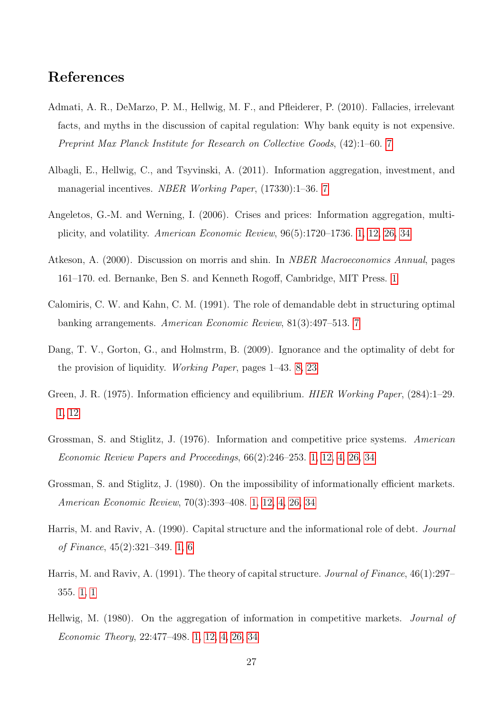## References

- <span id="page-28-7"></span>Admati, A. R., DeMarzo, P. M., Hellwig, M. F., and Pfleiderer, P. (2010). Fallacies, irrelevant facts, and myths in the discussion of capital regulation: Why bank equity is not expensive. Preprint Max Planck Institute for Research on Collective Goods, (42):1–60. [7](#page-5-4)
- <span id="page-28-8"></span>Albagli, E., Hellwig, C., and Tsyvinski, A. (2011). Information aggregation, investment, and managerial incentives. NBER Working Paper, (17330):1–36. [7](#page-5-4)
- <span id="page-28-11"></span>Angeletos, G.-M. and Werning, I. (2006). Crises and prices: Information aggregation, multiplicity, and volatility. American Economic Review, 96(5):1720–1736. [1,](#page-2-0) [12,](#page-10-0) [26,](#page-20-2) [34](#page-30-0)
- <span id="page-28-10"></span>Atkeson, A. (2000). Discussion on morris and shin. In *NBER Macroeconomics Annual*, pages 161–170. ed. Bernanke, Ben S. and Kenneth Rogoff, Cambridge, MIT Press. [1](#page-2-0)
- <span id="page-28-6"></span>Calomiris, C. W. and Kahn, C. M. (1991). The role of demandable debt in structuring optimal banking arrangements. American Economic Review, 81(3):497–513. [7](#page-5-4)
- <span id="page-28-9"></span>Dang, T. V., Gorton, G., and Holmstrm, B. (2009). Ignorance and the optimality of debt for the provision of liquidity. Working Paper, pages 1–43. [8,](#page-5-5) [23](#page-18-1)
- <span id="page-28-3"></span>Green, J. R. (1975). Information efficiency and equilibrium. *HIER Working Paper*, (284):1–29. [1,](#page-2-0) [12](#page-10-0)
- <span id="page-28-1"></span>Grossman, S. and Stiglitz, J. (1976). Information and competitive price systems. American Economic Review Papers and Proceedings, 66(2):246–253. [1,](#page-2-0) [12,](#page-10-0) [4,](#page-17-0) [26,](#page-20-2) [34](#page-30-0)
- <span id="page-28-2"></span>Grossman, S. and Stiglitz, J. (1980). On the impossibility of informationally efficient markets. American Economic Review, 70(3):393–408. [1,](#page-2-0) [12,](#page-10-0) [4,](#page-17-0) [26,](#page-20-2) [34](#page-30-0)
- <span id="page-28-5"></span>Harris, M. and Raviv, A. (1990). Capital structure and the informational role of debt. Journal of Finance, 45(2):321–349. [1,](#page-2-0) [6](#page-5-3)
- <span id="page-28-0"></span>Harris, M. and Raviv, A. (1991). The theory of capital structure. *Journal of Finance*, 46(1):297– 355. [1,](#page-3-0) [1](#page-2-0)
- <span id="page-28-4"></span>Hellwig, M. (1980). On the aggregation of information in competitive markets. *Journal of* Economic Theory, 22:477–498. [1,](#page-2-0) [12,](#page-10-0) [4,](#page-17-0) [26,](#page-20-2) [34](#page-30-0)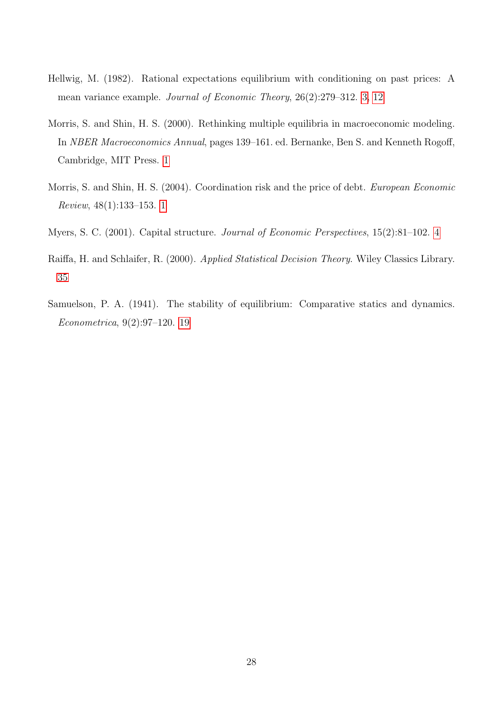- <span id="page-29-0"></span>Hellwig, M. (1982). Rational expectations equilibrium with conditioning on past prices: A mean variance example. Journal of Economic Theory, 26(2):279–312. [3,](#page-5-0) [12](#page-10-0)
- <span id="page-29-2"></span>Morris, S. and Shin, H. S. (2000). Rethinking multiple equilibria in macroeconomic modeling. In NBER Macroeconomics Annual, pages 139–161. ed. Bernanke, Ben S. and Kenneth Rogoff, Cambridge, MIT Press. [1](#page-2-0)
- <span id="page-29-3"></span>Morris, S. and Shin, H. S. (2004). Coordination risk and the price of debt. European Economic Review, 48(1):133–153. [1](#page-2-0)
- <span id="page-29-1"></span>Myers, S. C. (2001). Capital structure. Journal of Economic Perspectives, 15(2):81–102. [4](#page-5-1)
- <span id="page-29-5"></span>Raiffa, H. and Schlaifer, R. (2000). Applied Statistical Decision Theory. Wiley Classics Library. [35](#page-30-1)
- <span id="page-29-4"></span>Samuelson, P. A. (1941). The stability of equilibrium: Comparative statics and dynamics. Econometrica, 9(2):97–120. [19](#page-13-2)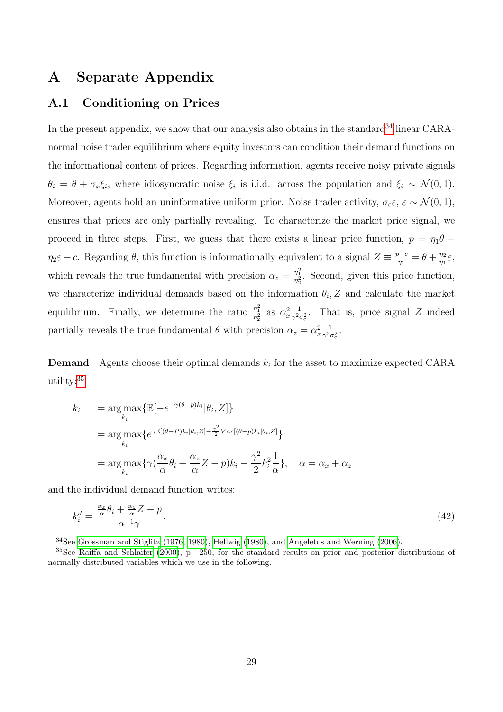## A Separate Appendix

## A.1 Conditioning on Prices

In the present appendix, we show that our analysis also obtains in the standard<sup>[34](#page-30-0)</sup> linear CARAnormal noise trader equilibrium where equity investors can condition their demand functions on the informational content of prices. Regarding information, agents receive noisy private signals  $\theta_i = \theta + \sigma_x \xi_i$ , where idiosyncratic noise  $\xi_i$  is i.i.d. across the population and  $\xi_i \sim \mathcal{N}(0, 1)$ . Moreover, agents hold an uninformative uniform prior. Noise trader activity,  $\sigma_{\varepsilon} \varepsilon$ ,  $\varepsilon \sim \mathcal{N}(0, 1)$ , ensures that prices are only partially revealing. To characterize the market price signal, we proceed in three steps. First, we guess that there exists a linear price function,  $p = \eta_1 \theta +$  $\eta_2 \varepsilon + c$ . Regarding  $\theta$ , this function is informationally equivalent to a signal  $Z \equiv \frac{p-c}{n}$  $\frac{\partial q_0}{\partial n_1} = \theta + \frac{\eta_2}{\eta_1}$  $\frac{\eta_2}{\eta_1}\varepsilon,$ which reveals the true fundamental with precision  $\alpha_z = \frac{\eta_1^2}{\eta_2^2}$ . Second, given this price function, we characterize individual demands based on the information  $\theta_i$ , Z and calculate the market equilibrium. Finally, we determine the ratio  $\frac{\eta_1^2}{\eta_2^2}$  as  $\alpha_x^2 \frac{1}{\gamma^2}$  $\frac{1}{\gamma^2 \sigma_{\varepsilon}^2}$ . That is, price signal Z indeed partially reveals the true fundamental  $\theta$  with precision  $\alpha_z = \alpha_x^2 \frac{1}{\gamma^2 c}$  $\frac{1}{\gamma^2\sigma_{\varepsilon}^2}.$ 

**Demand** Agents choose their optimal demands  $k_i$  for the asset to maximize expected CARA utility:[35](#page-30-1)

<span id="page-30-2"></span>
$$
k_i = \arg \max_{k_i} {\mathbb{E}[-e^{-\gamma(\theta - p)k_i}|\theta_i, Z]} \n= \arg \max_{k_i} \{e^{\gamma \mathbb{E}[(\theta - P)k_i|\theta_i, Z] - \frac{\gamma^2}{2}Var[(\theta - p)k_i|\theta_i, Z]} \} \n= \arg \max_{k_i} \{ \gamma(\frac{\alpha_x}{\alpha}\theta_i + \frac{\alpha_z}{\alpha}Z - p)k_i - \frac{\gamma^2}{2}k_i^2 \frac{1}{\alpha} \}, \quad \alpha = \alpha_x + \alpha_z
$$

and the individual demand function writes:

$$
k_i^d = \frac{\frac{\alpha_x}{\alpha} \theta_i + \frac{\alpha_z}{\alpha} Z - p}{\alpha^{-1} \gamma}.
$$
\n
$$
(42)
$$

<span id="page-30-1"></span><span id="page-30-0"></span><sup>34</sup>See [Grossman and Stiglitz](#page-28-1) [\(1976,](#page-28-1) [1980\)](#page-28-2), [Hellwig](#page-28-4) [\(1980\)](#page-28-4), and [Angeletos and Werning](#page-28-11) [\(2006\)](#page-28-11).

<sup>35</sup>See [Raiffa and Schlaifer](#page-29-5) [\(2000\)](#page-29-5), p. 250, for the standard results on prior and posterior distributions of normally distributed variables which we use in the following.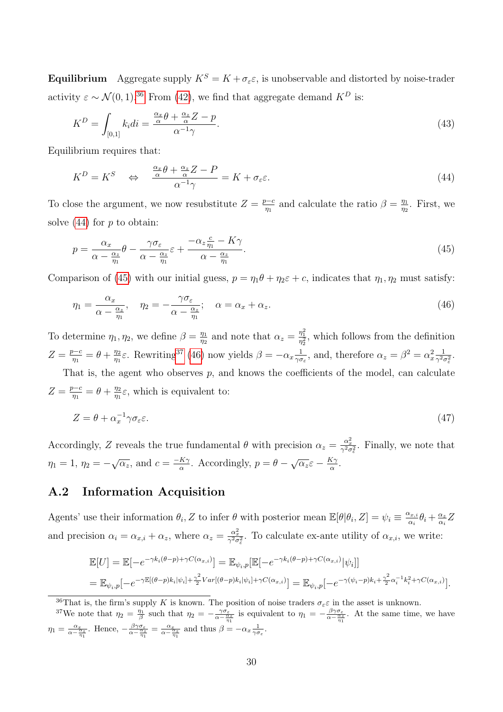**Equilibrium** Aggregate supply  $K^S = K + \sigma_\varepsilon \varepsilon$ , is unobservable and distorted by noise-trader activity  $\varepsilon \sim \mathcal{N}(0, 1).^{36}$  $\varepsilon \sim \mathcal{N}(0, 1).^{36}$  $\varepsilon \sim \mathcal{N}(0, 1).^{36}$  From [\(42\)](#page-30-2), we find that aggregate demand  $K^D$  is:

$$
K^{D} = \int_{[0,1]} k_i di = \frac{\frac{\alpha_x}{\alpha} \theta + \frac{\alpha_z}{\alpha} Z - p}{\alpha^{-1} \gamma}.
$$
\n(43)

Equilibrium requires that:

<span id="page-31-1"></span>
$$
K^{D} = K^{S} \quad \Leftrightarrow \quad \frac{\frac{\alpha_{x}}{\alpha} \theta + \frac{\alpha_{z}}{\alpha} Z - P}{\alpha^{-1} \gamma} = K + \sigma_{\varepsilon} \varepsilon. \tag{44}
$$

To close the argument, we now resubstitute  $Z = \frac{p-c}{n}$  $\frac{\partial q_1}{\partial q_1}$  and calculate the ratio  $\beta = \frac{\eta_1}{\eta_2}$  $\frac{\eta_1}{\eta_2}$ . First, we solve  $(44)$  for p to obtain:

<span id="page-31-2"></span>
$$
p = \frac{\alpha_x}{\alpha - \frac{\alpha_z}{\eta_1}} \theta - \frac{\gamma \sigma_{\varepsilon}}{\alpha - \frac{\alpha_z}{\eta_1}} \varepsilon + \frac{-\alpha_z \frac{c}{\eta_1} - K\gamma}{\alpha - \frac{\alpha_z}{\eta_1}}.
$$
\n(45)

Comparison of [\(45\)](#page-31-2) with our initial guess,  $p = \eta_1 \theta + \eta_2 \varepsilon + c$ , indicates that  $\eta_1, \eta_2$  must satisfy:

<span id="page-31-4"></span>
$$
\eta_1 = \frac{\alpha_x}{\alpha - \frac{\alpha_z}{\eta_1}}, \quad \eta_2 = -\frac{\gamma \sigma_{\varepsilon}}{\alpha - \frac{\alpha_z}{\eta_1}}; \quad \alpha = \alpha_x + \alpha_z. \tag{46}
$$

To determine  $\eta_1, \eta_2$ , we define  $\beta = \frac{\eta_1}{n_2}$  $\frac{\eta_1}{\eta_2}$  and note that  $\alpha_z = \frac{\eta_1^2}{\eta_2^2}$ , which follows from the definition  $Z=\frac{p-c}{n}$  $\frac{\partial-c}{\partial n}=\theta+\frac{\eta_2}{\eta_1}$  $\frac{\eta_2}{\eta_1}\varepsilon$ . Rewriting<sup>[37](#page-31-3)</sup> [\(46\)](#page-31-4) now yields  $\beta = -\alpha_x \frac{1}{\gamma \sigma^2}$  $\frac{1}{\gamma \sigma_{\varepsilon}}$ , and, therefore  $\alpha_z = \beta^2 = \alpha_x^2 \frac{1}{\gamma^2 c}$  $\frac{1}{\gamma^2 \sigma_\varepsilon^2}$ . That is, the agent who observes  $p$ , and knows the coefficients of the model, can calculate

 $Z=\frac{p-c}{n}$  $\frac{\partial-c}{\partial n}=\theta+\frac{\eta_2}{\eta_1}$  $\frac{\eta_2}{\eta_1}\varepsilon$ , which is equivalent to:

$$
Z = \theta + \alpha_x^{-1} \gamma \sigma_{\varepsilon} \varepsilon. \tag{47}
$$

Accordingly, Z reveals the true fundamental  $\theta$  with precision  $\alpha_z = \frac{\alpha_x^2}{\gamma^2 \sigma_{\epsilon}^2}$ . Finally, we note that  $\eta_1 = 1, \, \eta_2 = -\sqrt{\alpha_z}, \text{ and } c = \frac{-K\gamma}{\alpha}$  $rac{K\gamma}{\alpha}$ . Accordingly,  $p = \theta - \sqrt{\alpha_z} \varepsilon - \frac{K\gamma}{\alpha}$  $\frac{\mathfrak{c}_\gamma}{\alpha}.$ 

## A.2 Information Acquisition

Agents' use their information  $\theta_i$ , Z to infer  $\theta$  with posterior mean  $\mathbb{E}[\theta|\theta_i, Z] = \psi_i \equiv \frac{\alpha_{x,i}}{\alpha_i}$  $\frac{\alpha_{x,i}}{\alpha_i} \theta_i + \frac{\alpha_z}{\alpha_i}$  $\frac{\alpha_z}{\alpha_i}Z$ and precision  $\alpha_i = \alpha_{x,i} + \alpha_z$ , where  $\alpha_z = \frac{\alpha_x^2}{\gamma^2 \sigma_z^2}$ . To calculate ex-ante utility of  $\alpha_{x,i}$ , we write:

<span id="page-31-5"></span>
$$
\mathbb{E}[U] = \mathbb{E}[-e^{-\gamma k_i(\theta - p) + \gamma C(\alpha_{x,i})}] = \mathbb{E}_{\psi_i, p}[\mathbb{E}[-e^{-\gamma k_i(\theta - p) + \gamma C(\alpha_{x,i})}|\psi_i]]
$$
  
= 
$$
\mathbb{E}_{\psi_i, p}[-e^{-\gamma \mathbb{E}[(\theta - p)k_i|\psi_i] + \frac{\gamma^2}{2}Var[(\theta - p)k_i|\psi_i] + \gamma C(\alpha_{x,i})]} = \mathbb{E}_{\psi_i, p}[-e^{-\gamma(\psi_i - p)k_i + \frac{\gamma^2}{2}\alpha_i^{-1}k_i^2 + \gamma C(\alpha_{x,i})}].
$$

<span id="page-31-3"></span><span id="page-31-0"></span><sup>36</sup>That is, the firm's supply K is known. The position of noise traders  $\sigma_{\varepsilon} \varepsilon$  in the asset is unknown.

<sup>37</sup>We note that  $\eta_2 = \frac{\eta_1}{\beta}$  such that  $\eta_2 = -\frac{\gamma \sigma_{\varepsilon}}{\alpha - \frac{\alpha_{\varepsilon}}{\eta_1}}$  is equivalent to  $\eta_1 = -\frac{\beta \gamma \sigma_{\varepsilon}}{\alpha - \frac{\alpha_{\varepsilon}}{\eta_1}}$ . At the same time, we have  $\eta_1 = \frac{\alpha_x}{\alpha - \frac{\alpha_x}{\eta_1}}$ . Hence,  $-\frac{\beta \gamma \sigma_{\varepsilon}}{\alpha - \frac{\alpha_x}{\eta_1}} = \frac{\alpha_x}{\alpha - \frac{\alpha_x}{\eta_1}}$  and thus  $\beta = -\alpha_x \frac{1}{\gamma \sigma_{\varepsilon}}$ .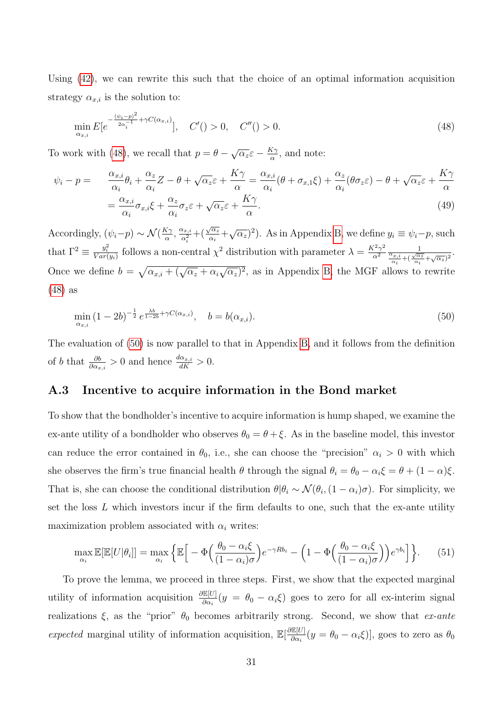Using [\(42\)](#page-30-2), we can rewrite this such that the choice of an optimal information acquisition strategy  $\alpha_{x,i}$  is the solution to:

$$
\min_{\alpha_{x,i}} E[e^{-\frac{(\psi_i - p)^2}{2\alpha_i^{-1}} + \gamma C(\alpha_{x,i})}], \quad C'( ) > 0, \quad C''( ) > 0.
$$
\n(48)

To work with [\(48\)](#page-31-5), we recall that  $p = \theta - \sqrt{\alpha_z} \varepsilon - \frac{K\gamma}{\alpha}$  $\frac{\zeta \gamma}{\alpha}$ , and note:

$$
\psi_i - p = \frac{\alpha_{x,i}}{\alpha_i} \theta_i + \frac{\alpha_z}{\alpha_i} Z - \theta + \sqrt{\alpha_z} \varepsilon + \frac{K\gamma}{\alpha} = \frac{\alpha_{x,i}}{\alpha_i} (\theta + \sigma_{x,1} \xi) + \frac{\alpha_z}{\alpha_i} (\theta \sigma_z \varepsilon) - \theta + \sqrt{\alpha_z} \varepsilon + \frac{K\gamma}{\alpha}
$$
\n
$$
= \frac{\alpha_{x,i}}{\alpha_i} \sigma_{x,i} \xi + \frac{\alpha_z}{\alpha_i} \sigma_z \varepsilon + \sqrt{\alpha_z} \varepsilon + \frac{K\gamma}{\alpha}.
$$
\n(49)

Accordingly,  $(\psi_i - p) \sim \mathcal{N}(\frac{K\gamma}{\alpha})$  $\frac{\alpha_{\gamma}}{\alpha},\frac{\alpha_{x,i}}{\alpha_i^2}$  $\frac{\alpha_{x,i}}{\alpha_i^2} + (\frac{\sqrt{\alpha_z}}{\alpha_i})$  $\sqrt{\alpha_z}$  +  $\sqrt{\alpha_z}$ )<sup>2</sup>). As in Appendix [B,](#page-23-0) we define  $y_i \equiv \psi_i - p$ , such that  $\Gamma^2 \equiv \frac{y_i^2}{Var(y_i)}$  follows a non-central  $\chi^2$  distribution with parameter  $\lambda = \frac{K^2 \gamma^2}{\alpha^2}$  $\alpha^2$  $rac{1}{\alpha_{x,i}+\sqrt{\alpha}}$  $\frac{\alpha_{x,i}}{\alpha_i} + (\frac{\sqrt{\alpha_z}}{\alpha_i})$  $\frac{1}{\frac{1}{\alpha_i}+\sqrt{\alpha_z}^2}$ . Once we define  $b = \sqrt{\alpha_{x,i} + (\sqrt{\alpha_z} + \alpha_i \sqrt{\alpha_z})^2}$ , as in Appendix [B,](#page-23-0) the MGF allows to rewrite [\(48\)](#page-31-5) as

<span id="page-32-1"></span>
$$
\min_{\alpha_{x,i}} (1 - 2b)^{-\frac{1}{2}} e^{\frac{\lambda b}{1 - 2b} + \gamma C(\alpha_{x,i})}, \quad b = b(\alpha_{x,i}).
$$
\n(50)

The evaluation of [\(50\)](#page-32-1) is now parallel to that in Appendix [B,](#page-23-0) and it follows from the definition of b that  $\frac{\partial b}{\partial \alpha_{x,i}} > 0$  and hence  $\frac{d\alpha_{x,i}}{dK} > 0$ .

### <span id="page-32-0"></span>A.3 Incentive to acquire information in the Bond market

To show that the bondholder's incentive to acquire information is hump shaped, we examine the ex-ante utility of a bondholder who observes  $\theta_0 = \theta + \xi$ . As in the baseline model, this investor can reduce the error contained in  $\theta_0$ , i.e., she can choose the "precision"  $\alpha_i > 0$  with which she observes the firm's true financial health  $\theta$  through the signal  $\theta_i = \theta_0 - \alpha_i \xi = \theta + (1 - \alpha)\xi$ . That is, she can choose the conditional distribution  $\theta | \theta_i \sim \mathcal{N}(\theta_i, (1 - \alpha_i)\sigma)$ . For simplicity, we set the loss  $L$  which investors incur if the firm defaults to one, such that the ex-ante utility maximization problem associated with  $\alpha_i$  writes:

$$
\max_{\alpha_i} \mathbb{E}[\mathbb{E}[U|\theta_i]] = \max_{\alpha_i} \left\{ \mathbb{E}\left[ -\Phi\left(\frac{\theta_0 - \alpha_i \xi}{(1 - \alpha_i)\sigma} \right) e^{-\gamma R b_i} - \left( 1 - \Phi\left(\frac{\theta_0 - \alpha_i \xi}{(1 - \alpha_i)\sigma} \right) \right) e^{\gamma b_i} \right] \right\}.
$$
 (51)

To prove the lemma, we proceed in three steps. First, we show that the expected marginal utility of information acquisition  $\frac{\partial E[U]}{\partial \alpha_i}(y = \theta_0 - \alpha_i \xi)$  goes to zero for all ex-interim signal realizations  $\xi$ , as the "prior"  $\theta_0$  becomes arbitrarily strong. Second, we show that *ex-ante* expected marginal utility of information acquisition,  $\mathbb{E}[\frac{\partial \mathbb{E}[U]}{\partial \alpha}]$ <u><sup>115</sup></u>[*U*]  $(y = \theta_0 - \alpha_i \xi)$ ], goes to zero as  $\theta_0$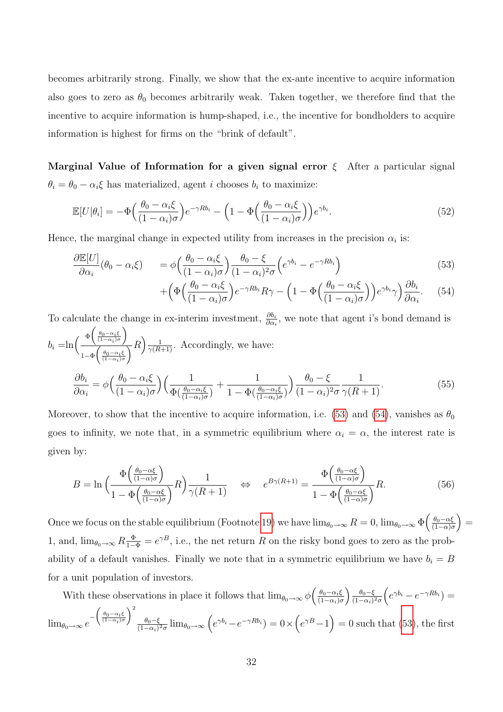becomes arbitrarily strong. Finally, we show that the ex-ante incentive to acquire information also goes to zero as  $\theta_0$  becomes arbitrarily weak. Taken together, we therefore find that the incentive to acquire information is hump-shaped, i.e., the incentive for bondholders to acquire information is highest for firms on the "brink of default".

Marginal Value of Information for a given signal error  $\xi$  After a particular signal  $\theta_i = \theta_0 - \alpha_i \xi$  has materialized, agent *i* chooses  $b_i$  to maximize:

$$
\mathbb{E}[U|\theta_i] = -\Phi\left(\frac{\theta_0 - \alpha_i \xi}{(1 - \alpha_i)\sigma}\right) e^{-\gamma R b_i} - \left(1 - \Phi\left(\frac{\theta_0 - \alpha_i \xi}{(1 - \alpha_i)\sigma}\right)\right) e^{\gamma b_i}.
$$
\n(52)

Hence, the marginal change in expected utility from increases in the precision  $\alpha_i$  is:

<span id="page-33-0"></span>
$$
\frac{\partial \mathbb{E}[U]}{\partial \alpha_i}(\theta_0 - \alpha_i \xi) = \phi \left( \frac{\theta_0 - \alpha_i \xi}{(1 - \alpha_i)\sigma} \right) \frac{\theta_0 - \xi}{(1 - \alpha_i)^2 \sigma} \left( e^{\gamma b_i} - e^{-\gamma R b_i} \right)
$$
(53)

$$
+\left(\Phi\left(\frac{\theta_0-\alpha_i\xi}{(1-\alpha_i)\sigma}\right)e^{-\gamma Rb_i}R\gamma - \left(1-\Phi\left(\frac{\theta_0-\alpha_i\xi}{(1-\alpha_i)\sigma}\right)\right)e^{\gamma b_i}\gamma\right)\frac{\partial b_i}{\partial \alpha_i}.\tag{54}
$$

To calculate the change in ex-interim investment,  $\frac{\partial b_i}{\partial \alpha_i}$ , we note that agent i's bond demand is  $b_i = \ln \left( \frac{\Phi\left(\frac{\theta_0 - \alpha_i \xi}{(1 - \alpha_i)\sigma}\right)}{\sigma} \right)$  $\frac{\sqrt[\Phi]{(\frac{(1-\alpha_i)\sigma}{(1-\alpha_i)\sigma})}}{1-\Phi\left(\frac{\theta_0-\alpha_i\xi}{(1-\alpha_i)\sigma}\right)}R\right)\frac{1}{\gamma(R+1)}$ . Accordingly, we have:  $\partial b_i$  $\partial \alpha_i$  $=\phi\Big(\frac{\theta_0-\alpha_i\xi_0}{\phi_0-\alpha_i\xi_0}$  $(1-\alpha_i)\sigma$  $($   $\frac{1}{2})$  $\Phi(\frac{\theta_0-\alpha_i\xi}{(1-\alpha_i)\sigma})$  $+$ 1  $1 - \Phi\left(\frac{\theta_0 - \alpha_i \xi}{(1 - \alpha_i)\sigma}\right)$  $\frac{\theta_0 - \xi}{\theta_0}$  $(1-\alpha_i)^2\sigma$ 1  $\frac{1}{\gamma(R+1)}$ . (55)

Moreover, to show that the incentive to acquire information, i.e. [\(53\)](#page-33-0) and [\(54\)](#page-33-0), vanishes as  $\theta_0$ goes to infinity, we note that, in a symmetric equilibrium where  $\alpha_i = \alpha$ , the interest rate is given by:

<span id="page-33-1"></span>
$$
B = \ln\left(\frac{\Phi\left(\frac{\theta_0 - \alpha\xi}{(1 - \alpha)\sigma}\right)}{1 - \Phi\left(\frac{\theta_0 - \alpha\xi}{(1 - \alpha)\sigma}\right)}R\right)\frac{1}{\gamma(R+1)} \quad \Leftrightarrow \quad e^{B\gamma(R+1)} = \frac{\Phi\left(\frac{\theta_0 - \alpha\xi}{(1 - \alpha)\sigma}\right)}{1 - \Phi\left(\frac{\theta_0 - \alpha\xi}{(1 - \alpha)\sigma}\right)}R. \tag{56}
$$

Once we focus on the stable equilibrium (Footnote [19\)](#page-13-2) we have  $\lim_{\theta_0 \to \infty} R = 0$ ,  $\lim_{\theta_0 \to \infty} \Phi\left(\frac{\theta_0 - \alpha \xi_0}{(1 - \alpha)\alpha}\right)$  $\frac{\theta_0 - \alpha \xi}{(1 - \alpha)\sigma}$  = 1, and,  $\lim_{\theta_0 \to \infty} R \frac{\Phi}{1-\Phi} = e^{\gamma B}$ , i.e., the net return R on the risky bond goes to zero as the probability of a default vanishes. Finally we note that in a symmetric equilibrium we have  $b_i = B$ for a unit population of investors.

With these observations in place it follows that  $\lim_{\theta_0 \to \infty} \phi \left( \frac{\theta_0 - \alpha_i \xi_0}{(1 - \alpha_i) \alpha_i} \right)$  $(1-\alpha_i)\sigma$  $\theta_0-\xi$  $\frac{\theta_0-\xi}{(1-\alpha_i)^2\sigma}\Big(e^{\gamma b_i}-e^{-\gamma R b_i}\Big)=$  $\lim_{\theta_0 \to \infty} e^{-\left(\frac{\theta_0 - \alpha_i \xi}{(1 - \alpha_i)\sigma}\right)^2}$  $\theta_0-\xi$  $\frac{\theta_0-\xi}{(1-\alpha_i)^2\sigma}$   $\lim_{\theta_0\to\infty}$   $\left(e^{\gamma b_i}-e^{-\gamma R b_i}\right)=0 \times \left(e^{\gamma B}-1\right)=0$  such that [\(53\)](#page-33-0), the first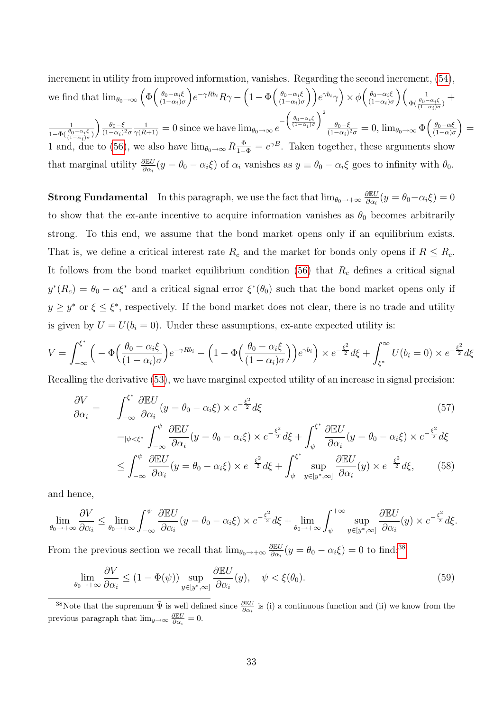increment in utility from improved information, vanishes. Regarding the second increment,  $(54)$ . we find that  $\lim_{\theta_0 \to \infty} \left( \Phi \left( \frac{\theta_0 - \alpha_i \xi}{(1 - \alpha_i) \alpha_i} \right) \right)$  $(1-\alpha_i)\sigma$  $\int e^{-\gamma Rb_i} R\gamma - \left(1 - \Phi\left(\frac{\theta_0 - \alpha_i \xi}{(1 - \alpha_i)^2}\right)\right)$  $\left(\frac{\theta_0-\alpha_i\xi}{(1-\alpha_i)\sigma}\right)$ )  $e^{\gamma b_i}\gamma$ )  $\times \phi\left(\frac{\theta_0-\alpha_i\xi}{(1-\alpha_i)\sigma}\right)$  $(1-\alpha_i)\sigma$  $\binom{1}{1}$  $\frac{1}{\Phi(\frac{\theta_0-\alpha_i\xi}{(1-\alpha_i)\sigma})}+$ 1  $1-\Phi(\frac{\theta_0-\alpha_i\xi}{(1-\alpha_i)\sigma})$  $\frac{\theta_0-\xi}{\theta_0-\xi}$  $\overline{(1-\alpha_i)^2\sigma}$  $\frac{1}{\gamma(R+1)} = 0$  since we have  $\lim_{\theta_0 \to \infty} e^{-\left(\frac{\theta_0 - \alpha_i \xi}{(1 - \alpha_i)\sigma}\right)^2}$  $\theta_0-\xi$  $\frac{\theta_0-\xi}{(1-\alpha_i)^2\sigma}=0, \lim_{\theta_0\to\infty}\Phi\left(\frac{\theta_0-\alpha\xi}{(1-\alpha)\sigma}\right)$  $\frac{\theta_0 - \alpha \xi}{(1 - \alpha)\sigma}$  = 1 and, due to [\(56\)](#page-33-1), we also have  $\lim_{\theta_0 \to \infty} R \frac{\Phi}{1-\Phi} = e^{\gamma B}$ . Taken together, these arguments show that marginal utility  $\frac{\partial \mathbb{E}U}{\partial \alpha_i}(y = \theta_0 - \alpha_i \xi)$  of  $\alpha_i$  vanishes as  $y \equiv \theta_0 - \alpha_i \xi$  goes to infinity with  $\theta_0$ .

**Strong Fundamental** In this paragraph, we use the fact that  $\lim_{\theta_0 \to +\infty} \frac{\partial \mathbb{E} U}{\partial \alpha_i}$  $\frac{\partial \mathbb{E} U}{\partial \alpha_i}(y = \theta_0 - \alpha_i \xi) = 0$ to show that the ex-ante incentive to acquire information vanishes as  $\theta_0$  becomes arbitrarily strong. To this end, we assume that the bond market opens only if an equilibrium exists. That is, we define a critical interest rate  $R_c$  and the market for bonds only opens if  $R \leq R_c$ . It follows from the bond market equilibrium condition [\(56\)](#page-33-1) that  $R_c$  defines a critical signal  $y^*(R_c) = \theta_0 - \alpha \xi^*$  and a critical signal error  $\xi^*(\theta_0)$  such that the bond market opens only if  $y \geq y^*$  or  $\xi \leq \xi^*$ , respectively. If the bond market does not clear, there is no trade and utility is given by  $U = U(b_i = 0)$ . Under these assumptions, ex-ante expected utility is:

<span id="page-34-2"></span>
$$
V = \int_{-\infty}^{\xi^*} \left( -\Phi\left(\frac{\theta_0 - \alpha_i \xi}{(1 - \alpha_i)\sigma}\right) e^{-\gamma R b_i} - \left(1 - \Phi\left(\frac{\theta_0 - \alpha_i \xi}{(1 - \alpha_i)\sigma}\right)\right) e^{\gamma b_i} \right) \times e^{-\frac{\xi^2}{2}} d\xi + \int_{\xi^*}^{\infty} U(b_i = 0) \times e^{-\frac{\xi^2}{2}} d\xi
$$

Recalling the derivative [\(53\)](#page-33-0), we have marginal expected utility of an increase in signal precision:

$$
\frac{\partial V}{\partial \alpha_i} = \int_{-\infty}^{\xi^*} \frac{\partial \mathbb{E} U}{\partial \alpha_i} (y = \theta_0 - \alpha_i \xi) \times e^{-\frac{\xi^2}{2}} d\xi
$$
\n
$$
=_{|\psi \leq \xi^*} \int_{-\infty}^{\psi} \frac{\partial \mathbb{E} U}{\partial \alpha_i} (y = \theta_0 - \alpha_i \xi) \times e^{-\frac{\xi^2}{2}} d\xi + \int_{\psi}^{\xi^*} \frac{\partial \mathbb{E} U}{\partial \alpha_i} (y = \theta_0 - \alpha_i \xi) \times e^{-\frac{\xi^2}{2}} d\xi
$$
\n
$$
\leq \int_{-\infty}^{\psi} \frac{\partial \mathbb{E} U}{\partial \alpha_i} (y = \theta_0 - \alpha_i \xi) \times e^{-\frac{\xi^2}{2}} d\xi + \int_{\psi}^{\xi^*} \sup_{y \in [y^*, \infty]} \frac{\partial \mathbb{E} U}{\partial \alpha_i} (y) \times e^{-\frac{\xi^2}{2}} d\xi,
$$
\n(58)

and hence,

<span id="page-34-1"></span>
$$
\lim_{\theta_0 \to +\infty} \frac{\partial V}{\partial \alpha_i} \le \lim_{\theta_0 \to +\infty} \int_{-\infty}^{\psi} \frac{\partial \mathbb{E} U}{\partial \alpha_i} (y = \theta_0 - \alpha_i \xi) \times e^{-\frac{\xi^2}{2}} d\xi + \lim_{\theta_0 \to +\infty} \int_{\psi}^{+\infty} \sup_{y \in [y^*, \infty]} \frac{\partial \mathbb{E} U}{\partial \alpha_i} (y) \times e^{-\frac{\xi^2}{2}} d\xi.
$$

From the previous section we recall that  $\lim_{\theta_0 \to +\infty} \frac{\partial \mathbb{E} U}{\partial \alpha_i}$  $\frac{\partial \mathbb{E} U}{\partial \alpha_i}(y = \theta_0 - \alpha_i \xi) = 0$  to find:<sup>[38](#page-34-0)</sup>

$$
\lim_{\theta_0 \to +\infty} \frac{\partial V}{\partial \alpha_i} \le (1 - \Phi(\psi)) \sup_{y \in [y^*, \infty]} \frac{\partial \mathbb{E} U}{\partial \alpha_i}(y), \quad \psi < \xi(\theta_0). \tag{59}
$$

<span id="page-34-0"></span><sup>&</sup>lt;sup>38</sup>Note that the supremum  $\tilde{\Psi}$  is well defined since  $\frac{\partial \mathbb{E}U}{\partial \alpha_i}$  is (i) a continuous function and (ii) we know from the previous paragraph that  $\lim_{y\to\infty} \frac{\partial \mathbb{E}U}{\partial \alpha_i} = 0.$